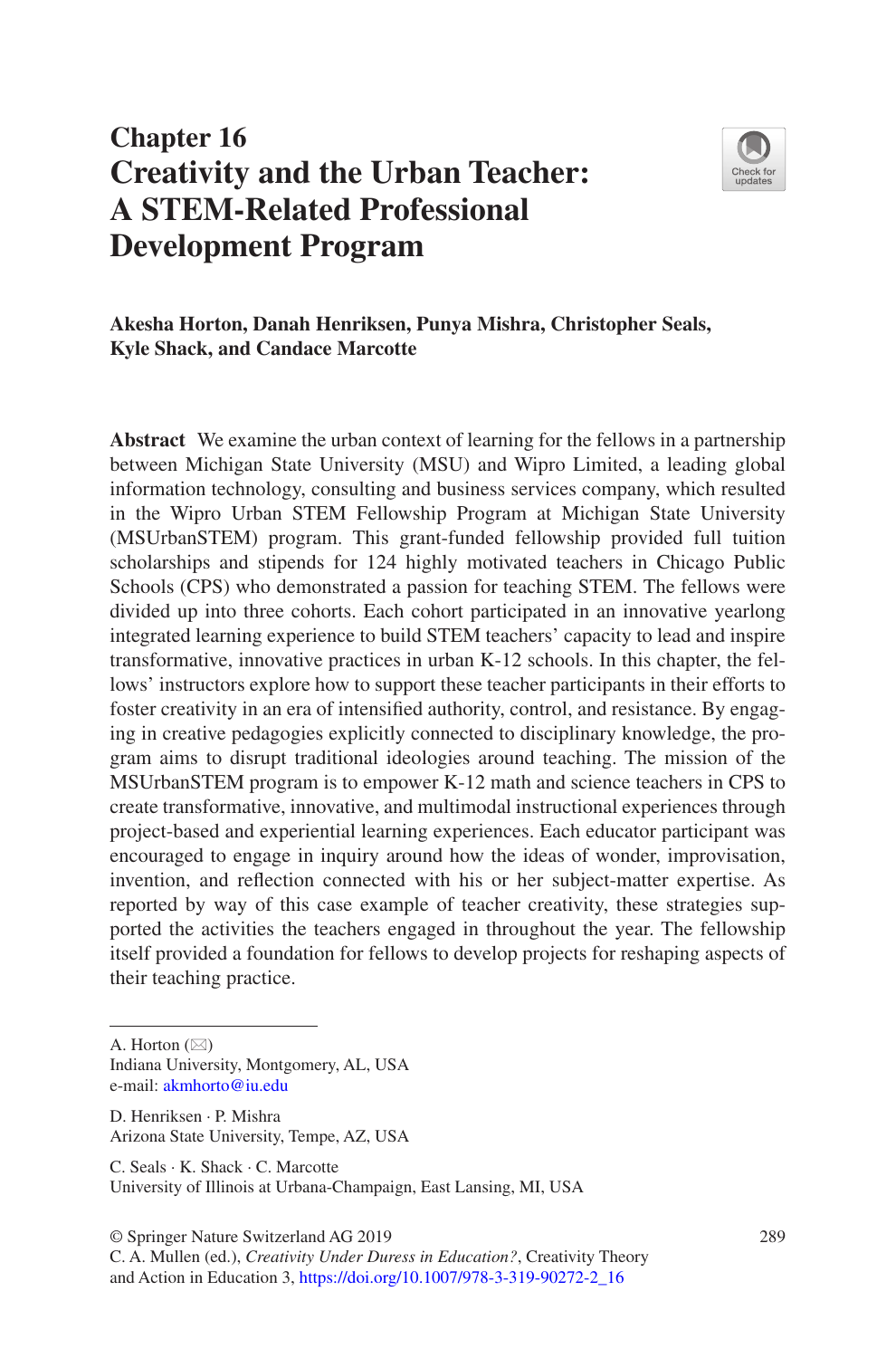# **Chapter 16 Creativity and the Urban Teacher: A STEM-Related Professional Development Program**



#### **Akesha Horton, Danah Henriksen, Punya Mishra, Christopher Seals, Kyle Shack, and Candace Marcotte**

**Abstract** We examine the urban context of learning for the fellows in a partnership between Michigan State University (MSU) and Wipro Limited, a leading global information technology, consulting and business services company, which resulted in the Wipro Urban STEM Fellowship Program at Michigan State University (MSUrbanSTEM) program. This grant-funded fellowship provided full tuition scholarships and stipends for 124 highly motivated teachers in Chicago Public Schools (CPS) who demonstrated a passion for teaching STEM. The fellows were divided up into three cohorts. Each cohort participated in an innovative yearlong integrated learning experience to build STEM teachers' capacity to lead and inspire transformative, innovative practices in urban K-12 schools. In this chapter, the fellows' instructors explore how to support these teacher participants in their efforts to foster creativity in an era of intensified authority, control, and resistance. By engaging in creative pedagogies explicitly connected to disciplinary knowledge, the program aims to disrupt traditional ideologies around teaching. The mission of the MSUrbanSTEM program is to empower K-12 math and science teachers in CPS to create transformative, innovative, and multimodal instructional experiences through project-based and experiential learning experiences. Each educator participant was encouraged to engage in inquiry around how the ideas of wonder, improvisation, invention, and reflection connected with his or her subject-matter expertise. As reported by way of this case example of teacher creativity, these strategies supported the activities the teachers engaged in throughout the year. The fellowship itself provided a foundation for fellows to develop projects for reshaping aspects of their teaching practice.

A. Horton  $(\boxtimes)$ 

Indiana University, Montgomery, AL, USA e-mail: [akmhorto@iu.edu](mailto:akmhorto@iu.edu)

D. Henriksen · P. Mishra Arizona State University, Tempe, AZ, USA

C. Seals · K. Shack · C. Marcotte University of Illinois at Urbana-Champaign, East Lansing, MI, USA

© Springer Nature Switzerland AG 2019 289

C. A. Mullen (ed.), *Creativity Under Duress in Education?*, Creativity Theory and Action in Education 3, [https://doi.org/10.1007/978-3-319-90272-2\\_16](https://doi.org/10.1007/978-3-319-90272-2_16)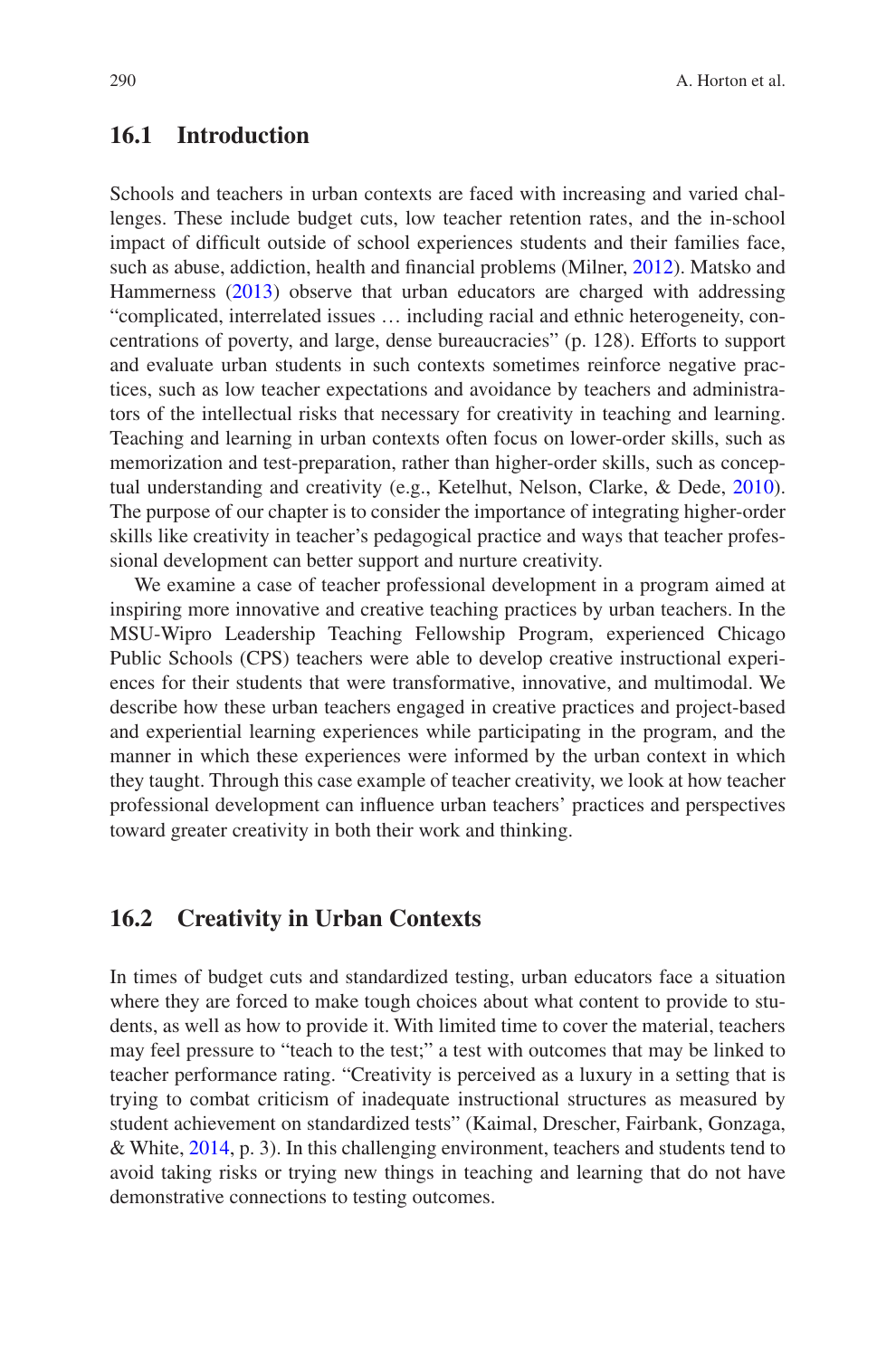### **16.1 Introduction**

Schools and teachers in urban contexts are faced with increasing and varied challenges. These include budget cuts, low teacher retention rates, and the in-school impact of difficult outside of school experiences students and their families face, such as abuse, addiction, health and financial problems (Milner, [2012](#page-21-0)). Matsko and Hammerness [\(2013](#page-21-1)) observe that urban educators are charged with addressing "complicated, interrelated issues … including racial and ethnic heterogeneity, concentrations of poverty, and large, dense bureaucracies" (p. 128). Efforts to support and evaluate urban students in such contexts sometimes reinforce negative practices, such as low teacher expectations and avoidance by teachers and administrators of the intellectual risks that necessary for creativity in teaching and learning. Teaching and learning in urban contexts often focus on lower-order skills, such as memorization and test-preparation, rather than higher-order skills, such as conceptual understanding and creativity (e.g., Ketelhut, Nelson, Clarke, & Dede, [2010\)](#page-21-2). The purpose of our chapter is to consider the importance of integrating higher-order skills like creativity in teacher's pedagogical practice and ways that teacher professional development can better support and nurture creativity.

We examine a case of teacher professional development in a program aimed at inspiring more innovative and creative teaching practices by urban teachers. In the MSU-Wipro Leadership Teaching Fellowship Program, experienced Chicago Public Schools (CPS) teachers were able to develop creative instructional experiences for their students that were transformative, innovative, and multimodal. We describe how these urban teachers engaged in creative practices and project-based and experiential learning experiences while participating in the program, and the manner in which these experiences were informed by the urban context in which they taught. Through this case example of teacher creativity, we look at how teacher professional development can influence urban teachers' practices and perspectives toward greater creativity in both their work and thinking.

#### **16.2 Creativity in Urban Contexts**

In times of budget cuts and standardized testing, urban educators face a situation where they are forced to make tough choices about what content to provide to students, as well as how to provide it. With limited time to cover the material, teachers may feel pressure to "teach to the test;" a test with outcomes that may be linked to teacher performance rating. "Creativity is perceived as a luxury in a setting that is trying to combat criticism of inadequate instructional structures as measured by student achievement on standardized tests" (Kaimal, Drescher, Fairbank, Gonzaga, & White, [2014,](#page-21-3) p. 3). In this challenging environment, teachers and students tend to avoid taking risks or trying new things in teaching and learning that do not have demonstrative connections to testing outcomes.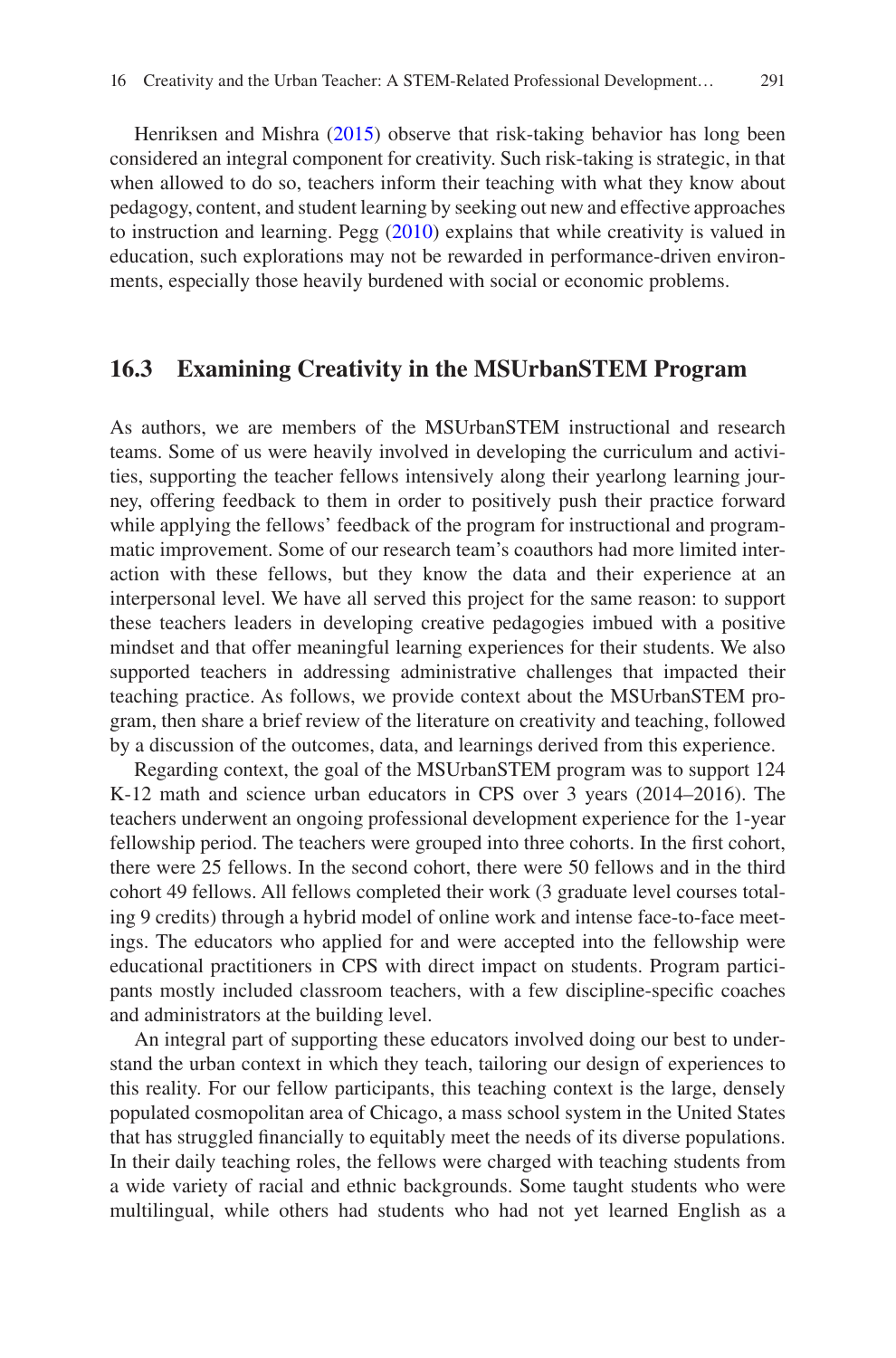Henriksen and Mishra ([2015\)](#page-21-4) observe that risk-taking behavior has long been considered an integral component for creativity. Such risk-taking is strategic, in that when allowed to do so, teachers inform their teaching with what they know about pedagogy, content, and student learning by seeking out new and effective approaches to instruction and learning. Pegg [\(2010](#page-21-5)) explains that while creativity is valued in education, such explorations may not be rewarded in performance-driven environments, especially those heavily burdened with social or economic problems.

#### **16.3 Examining Creativity in the MSUrbanSTEM Program**

As authors, we are members of the MSUrbanSTEM instructional and research teams. Some of us were heavily involved in developing the curriculum and activities, supporting the teacher fellows intensively along their yearlong learning journey, offering feedback to them in order to positively push their practice forward while applying the fellows' feedback of the program for instructional and programmatic improvement. Some of our research team's coauthors had more limited interaction with these fellows, but they know the data and their experience at an interpersonal level. We have all served this project for the same reason: to support these teachers leaders in developing creative pedagogies imbued with a positive mindset and that offer meaningful learning experiences for their students. We also supported teachers in addressing administrative challenges that impacted their teaching practice. As follows, we provide context about the MSUrbanSTEM program, then share a brief review of the literature on creativity and teaching, followed by a discussion of the outcomes, data, and learnings derived from this experience.

Regarding context, the goal of the MSUrbanSTEM program was to support 124 K-12 math and science urban educators in CPS over 3 years (2014–2016). The teachers underwent an ongoing professional development experience for the 1-year fellowship period. The teachers were grouped into three cohorts. In the first cohort, there were 25 fellows. In the second cohort, there were 50 fellows and in the third cohort 49 fellows. All fellows completed their work (3 graduate level courses totaling 9 credits) through a hybrid model of online work and intense face-to-face meetings. The educators who applied for and were accepted into the fellowship were educational practitioners in CPS with direct impact on students. Program participants mostly included classroom teachers, with a few discipline-specific coaches and administrators at the building level.

An integral part of supporting these educators involved doing our best to understand the urban context in which they teach, tailoring our design of experiences to this reality. For our fellow participants, this teaching context is the large, densely populated cosmopolitan area of Chicago, a mass school system in the United States that has struggled financially to equitably meet the needs of its diverse populations. In their daily teaching roles, the fellows were charged with teaching students from a wide variety of racial and ethnic backgrounds. Some taught students who were multilingual, while others had students who had not yet learned English as a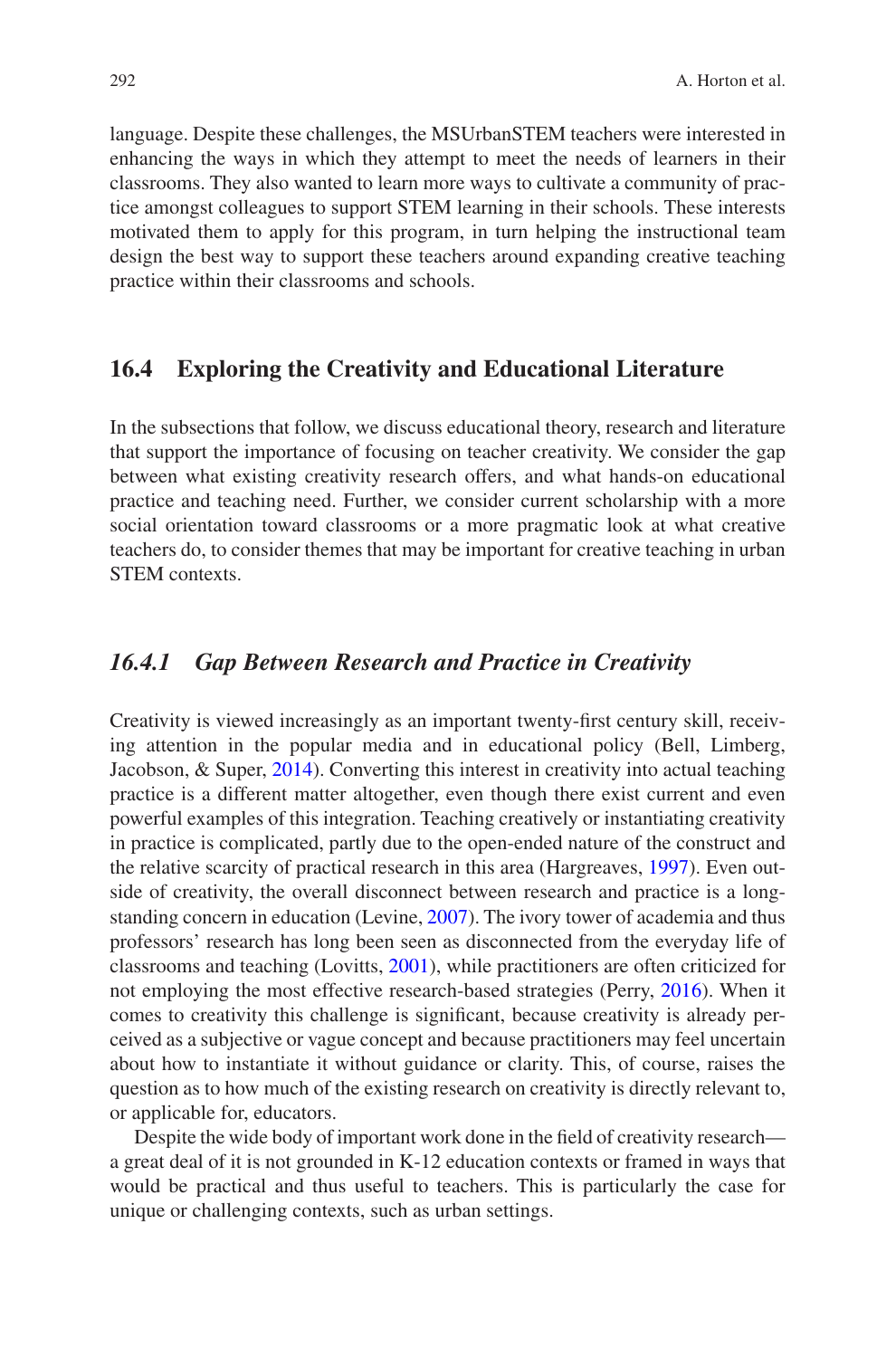language. Despite these challenges, the MSUrbanSTEM teachers were interested in enhancing the ways in which they attempt to meet the needs of learners in their classrooms. They also wanted to learn more ways to cultivate a community of practice amongst colleagues to support STEM learning in their schools. These interests motivated them to apply for this program, in turn helping the instructional team design the best way to support these teachers around expanding creative teaching practice within their classrooms and schools.

### **16.4 Exploring the Creativity and Educational Literature**

In the subsections that follow, we discuss educational theory, research and literature that support the importance of focusing on teacher creativity. We consider the gap between what existing creativity research offers, and what hands-on educational practice and teaching need. Further, we consider current scholarship with a more social orientation toward classrooms or a more pragmatic look at what creative teachers do, to consider themes that may be important for creative teaching in urban STEM contexts.

### *16.4.1 Gap Between Research and Practice in Creativity*

Creativity is viewed increasingly as an important twenty-first century skill, receiving attention in the popular media and in educational policy (Bell, Limberg, Jacobson, & Super, [2014](#page-20-0)). Converting this interest in creativity into actual teaching practice is a different matter altogether, even though there exist current and even powerful examples of this integration. Teaching creatively or instantiating creativity in practice is complicated, partly due to the open-ended nature of the construct and the relative scarcity of practical research in this area (Hargreaves, [1997](#page-20-1)). Even outside of creativity, the overall disconnect between research and practice is a longstanding concern in education (Levine, [2007\)](#page-21-6). The ivory tower of academia and thus professors' research has long been seen as disconnected from the everyday life of classrooms and teaching (Lovitts, [2001\)](#page-21-7), while practitioners are often criticized for not employing the most effective research-based strategies (Perry, [2016](#page-21-8)). When it comes to creativity this challenge is significant, because creativity is already perceived as a subjective or vague concept and because practitioners may feel uncertain about how to instantiate it without guidance or clarity. This, of course, raises the question as to how much of the existing research on creativity is directly relevant to, or applicable for, educators.

Despite the wide body of important work done in the field of creativity research a great deal of it is not grounded in K-12 education contexts or framed in ways that would be practical and thus useful to teachers. This is particularly the case for unique or challenging contexts, such as urban settings.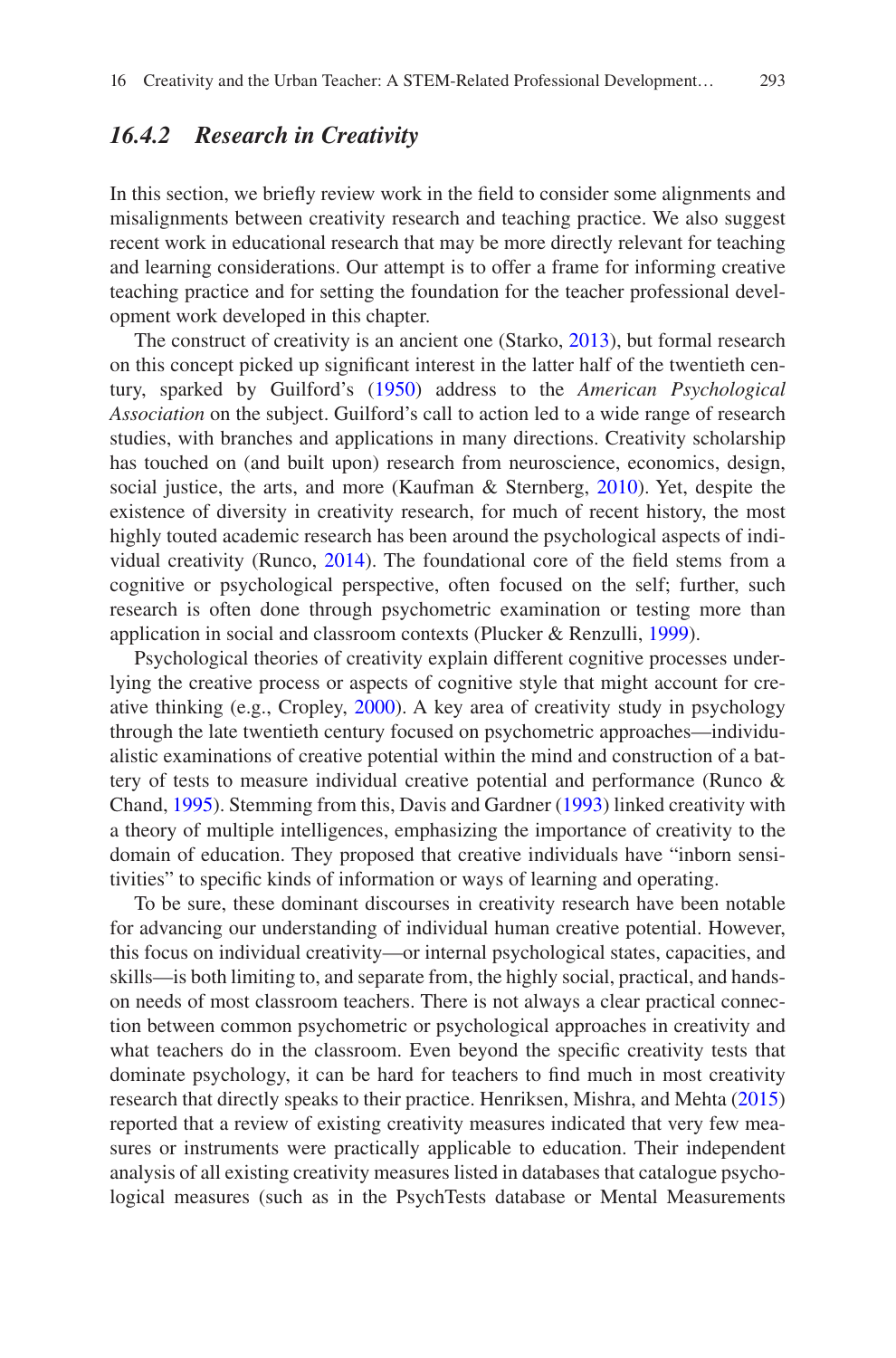### *16.4.2 Research in Creativity*

In this section, we briefly review work in the field to consider some alignments and misalignments between creativity research and teaching practice. We also suggest recent work in educational research that may be more directly relevant for teaching and learning considerations. Our attempt is to offer a frame for informing creative teaching practice and for setting the foundation for the teacher professional development work developed in this chapter.

The construct of creativity is an ancient one (Starko, [2013](#page-22-0)), but formal research on this concept picked up significant interest in the latter half of the twentieth century, sparked by Guilford's ([1950\)](#page-20-2) address to the *American Psychological Association* on the subject. Guilford's call to action led to a wide range of research studies, with branches and applications in many directions. Creativity scholarship has touched on (and built upon) research from neuroscience, economics, design, social justice, the arts, and more (Kaufman & Sternberg, [2010\)](#page-21-9). Yet, despite the existence of diversity in creativity research, for much of recent history, the most highly touted academic research has been around the psychological aspects of individual creativity (Runco, [2014](#page-21-10)). The foundational core of the field stems from a cognitive or psychological perspective, often focused on the self; further, such research is often done through psychometric examination or testing more than application in social and classroom contexts (Plucker & Renzulli, [1999](#page-21-11)).

Psychological theories of creativity explain different cognitive processes underlying the creative process or aspects of cognitive style that might account for creative thinking (e.g., Cropley, [2000\)](#page-20-3). A key area of creativity study in psychology through the late twentieth century focused on psychometric approaches—individualistic examinations of creative potential within the mind and construction of a battery of tests to measure individual creative potential and performance (Runco & Chand, [1995\)](#page-21-12). Stemming from this, Davis and Gardner ([1993\)](#page-20-4) linked creativity with a theory of multiple intelligences, emphasizing the importance of creativity to the domain of education. They proposed that creative individuals have "inborn sensitivities" to specific kinds of information or ways of learning and operating.

To be sure, these dominant discourses in creativity research have been notable for advancing our understanding of individual human creative potential. However, this focus on individual creativity—or internal psychological states, capacities, and skills—is both limiting to, and separate from, the highly social, practical, and handson needs of most classroom teachers. There is not always a clear practical connection between common psychometric or psychological approaches in creativity and what teachers do in the classroom. Even beyond the specific creativity tests that dominate psychology, it can be hard for teachers to find much in most creativity research that directly speaks to their practice. Henriksen, Mishra, and Mehta [\(2015](#page-21-13)) reported that a review of existing creativity measures indicated that very few measures or instruments were practically applicable to education. Their independent analysis of all existing creativity measures listed in databases that catalogue psychological measures (such as in the PsychTests database or Mental Measurements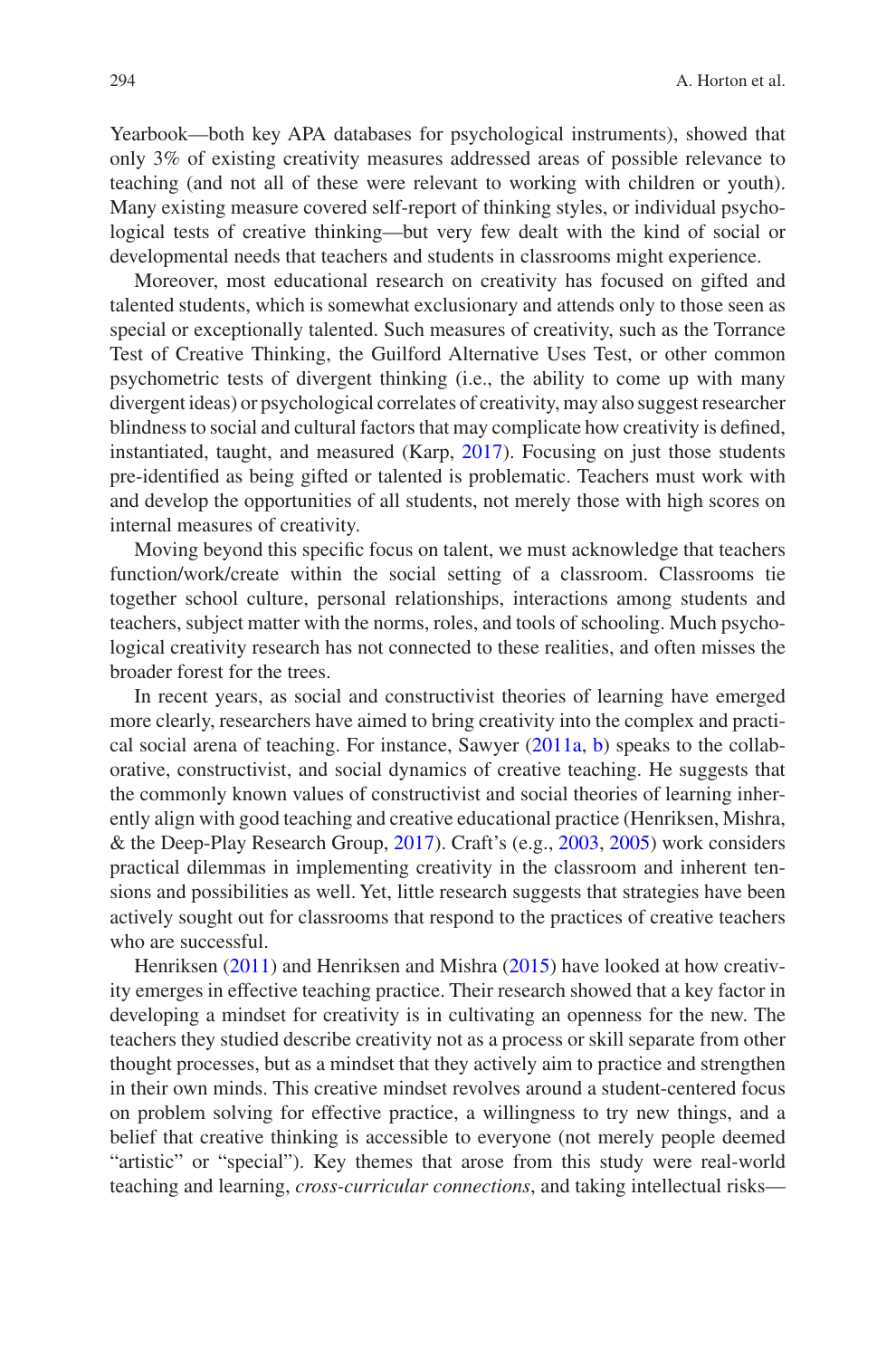Yearbook—both key APA databases for psychological instruments), showed that only 3% of existing creativity measures addressed areas of possible relevance to teaching (and not all of these were relevant to working with children or youth). Many existing measure covered self-report of thinking styles, or individual psychological tests of creative thinking—but very few dealt with the kind of social or developmental needs that teachers and students in classrooms might experience.

Moreover, most educational research on creativity has focused on gifted and talented students, which is somewhat exclusionary and attends only to those seen as special or exceptionally talented. Such measures of creativity, such as the Torrance Test of Creative Thinking, the Guilford Alternative Uses Test, or other common psychometric tests of divergent thinking (i.e., the ability to come up with many divergent ideas) or psychological correlates of creativity, may also suggest researcher blindness to social and cultural factors that may complicate how creativity is defined, instantiated, taught, and measured (Karp, [2017\)](#page-21-14). Focusing on just those students pre-identified as being gifted or talented is problematic. Teachers must work with and develop the opportunities of all students, not merely those with high scores on internal measures of creativity.

Moving beyond this specific focus on talent, we must acknowledge that teachers function/work/create within the social setting of a classroom. Classrooms tie together school culture, personal relationships, interactions among students and teachers, subject matter with the norms, roles, and tools of schooling. Much psychological creativity research has not connected to these realities, and often misses the broader forest for the trees.

In recent years, as social and constructivist theories of learning have emerged more clearly, researchers have aimed to bring creativity into the complex and practical social arena of teaching. For instance, Sawyer [\(2011a](#page-21-15), [b\)](#page-22-1) speaks to the collaborative, constructivist, and social dynamics of creative teaching. He suggests that the commonly known values of constructivist and social theories of learning inherently align with good teaching and creative educational practice (Henriksen, Mishra, & the Deep-Play Research Group, [2017](#page-21-16)). Craft's (e.g., [2003](#page-20-5), [2005\)](#page-20-6) work considers practical dilemmas in implementing creativity in the classroom and inherent tensions and possibilities as well. Yet, little research suggests that strategies have been actively sought out for classrooms that respond to the practices of creative teachers who are successful.

Henriksen ([2011\)](#page-20-7) and Henriksen and Mishra ([2015\)](#page-21-4) have looked at how creativity emerges in effective teaching practice. Their research showed that a key factor in developing a mindset for creativity is in cultivating an openness for the new. The teachers they studied describe creativity not as a process or skill separate from other thought processes, but as a mindset that they actively aim to practice and strengthen in their own minds. This creative mindset revolves around a student-centered focus on problem solving for effective practice, a willingness to try new things, and a belief that creative thinking is accessible to everyone (not merely people deemed "artistic" or "special"). Key themes that arose from this study were real-world teaching and learning, *cross-curricular connections*, and taking intellectual risks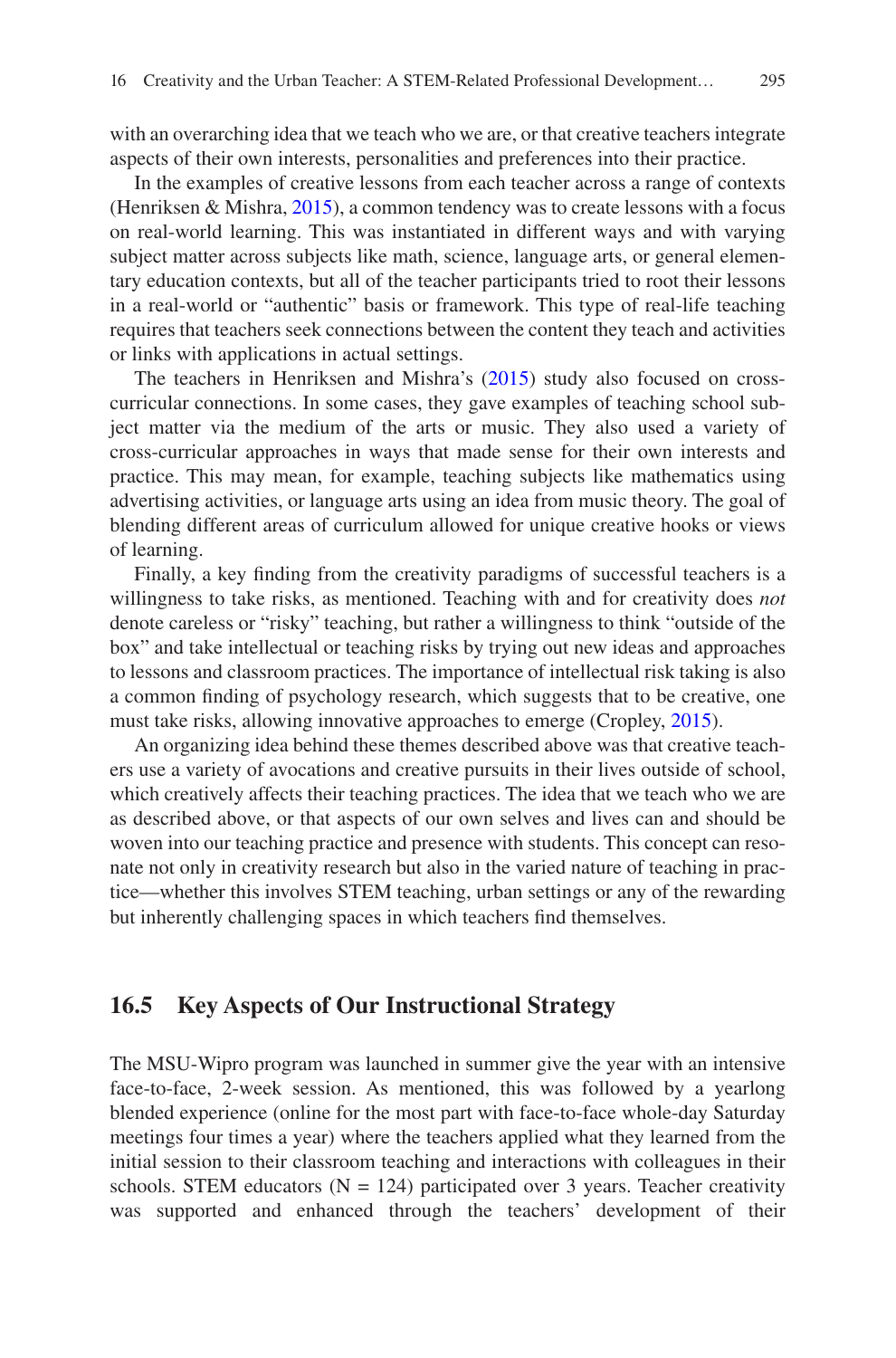with an overarching idea that we teach who we are, or that creative teachers integrate aspects of their own interests, personalities and preferences into their practice.

In the examples of creative lessons from each teacher across a range of contexts (Henriksen & Mishra, [2015](#page-21-4)), a common tendency was to create lessons with a focus on real-world learning. This was instantiated in different ways and with varying subject matter across subjects like math, science, language arts, or general elementary education contexts, but all of the teacher participants tried to root their lessons in a real-world or "authentic" basis or framework. This type of real-life teaching requires that teachers seek connections between the content they teach and activities or links with applications in actual settings.

The teachers in Henriksen and Mishra's ([2015\)](#page-21-4) study also focused on crosscurricular connections. In some cases, they gave examples of teaching school subject matter via the medium of the arts or music. They also used a variety of cross-curricular approaches in ways that made sense for their own interests and practice. This may mean, for example, teaching subjects like mathematics using advertising activities, or language arts using an idea from music theory. The goal of blending different areas of curriculum allowed for unique creative hooks or views of learning.

Finally, a key finding from the creativity paradigms of successful teachers is a willingness to take risks, as mentioned. Teaching with and for creativity does *not* denote careless or "risky" teaching, but rather a willingness to think "outside of the box" and take intellectual or teaching risks by trying out new ideas and approaches to lessons and classroom practices. The importance of intellectual risk taking is also a common finding of psychology research, which suggests that to be creative, one must take risks, allowing innovative approaches to emerge (Cropley, [2015](#page-20-8)).

An organizing idea behind these themes described above was that creative teachers use a variety of avocations and creative pursuits in their lives outside of school, which creatively affects their teaching practices. The idea that we teach who we are as described above, or that aspects of our own selves and lives can and should be woven into our teaching practice and presence with students. This concept can resonate not only in creativity research but also in the varied nature of teaching in practice—whether this involves STEM teaching, urban settings or any of the rewarding but inherently challenging spaces in which teachers find themselves.

### **16.5 Key Aspects of Our Instructional Strategy**

The MSU-Wipro program was launched in summer give the year with an intensive face-to-face, 2-week session. As mentioned, this was followed by a yearlong blended experience (online for the most part with face-to-face whole-day Saturday meetings four times a year) where the teachers applied what they learned from the initial session to their classroom teaching and interactions with colleagues in their schools. STEM educators  $(N = 124)$  participated over 3 years. Teacher creativity was supported and enhanced through the teachers' development of their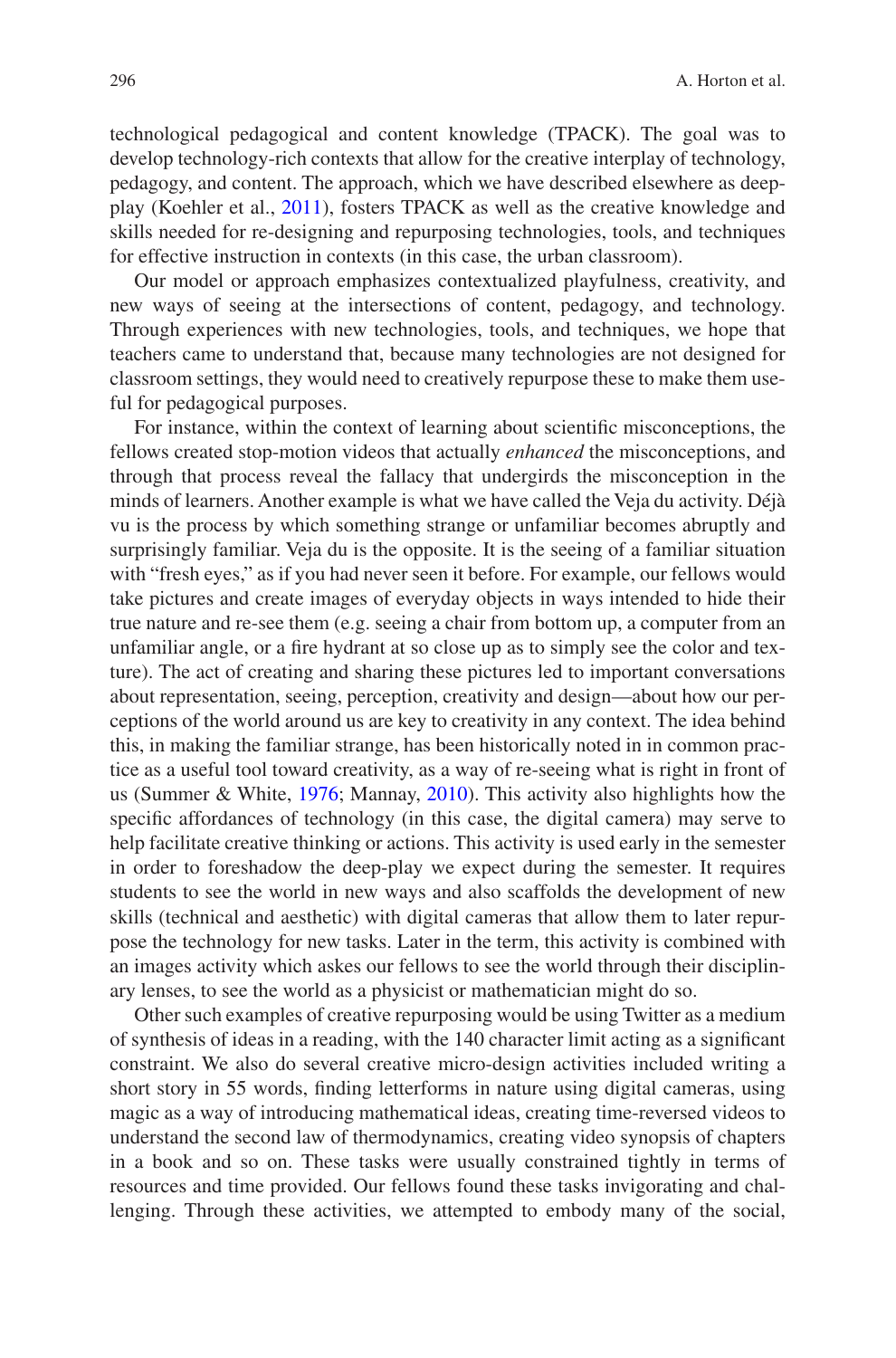technological pedagogical and content knowledge (TPACK). The goal was to develop technology-rich contexts that allow for the creative interplay of technology, pedagogy, and content. The approach, which we have described elsewhere as deepplay (Koehler et al., [2011](#page-21-17)), fosters TPACK as well as the creative knowledge and skills needed for re-designing and repurposing technologies, tools, and techniques for effective instruction in contexts (in this case, the urban classroom).

Our model or approach emphasizes contextualized playfulness, creativity, and new ways of seeing at the intersections of content, pedagogy, and technology. Through experiences with new technologies, tools, and techniques, we hope that teachers came to understand that, because many technologies are not designed for classroom settings, they would need to creatively repurpose these to make them useful for pedagogical purposes.

For instance, within the context of learning about scientific misconceptions, the fellows created stop-motion videos that actually *enhanced* the misconceptions, and through that process reveal the fallacy that undergirds the misconception in the minds of learners. Another example is what we have called the Veja du activity. Déjà vu is the process by which something strange or unfamiliar becomes abruptly and surprisingly familiar. Veja du is the opposite. It is the seeing of a familiar situation with "fresh eyes," as if you had never seen it before. For example, our fellows would take pictures and create images of everyday objects in ways intended to hide their true nature and re-see them (e.g. seeing a chair from bottom up, a computer from an unfamiliar angle, or a fire hydrant at so close up as to simply see the color and texture). The act of creating and sharing these pictures led to important conversations about representation, seeing, perception, creativity and design—about how our perceptions of the world around us are key to creativity in any context. The idea behind this, in making the familiar strange, has been historically noted in in common practice as a useful tool toward creativity, as a way of re-seeing what is right in front of us (Summer & White, [1976](#page-22-2); Mannay, [2010](#page-21-18)). This activity also highlights how the specific affordances of technology (in this case, the digital camera) may serve to help facilitate creative thinking or actions. This activity is used early in the semester in order to foreshadow the deep-play we expect during the semester. It requires students to see the world in new ways and also scaffolds the development of new skills (technical and aesthetic) with digital cameras that allow them to later repurpose the technology for new tasks. Later in the term, this activity is combined with an images activity which askes our fellows to see the world through their disciplinary lenses, to see the world as a physicist or mathematician might do so.

Other such examples of creative repurposing would be using Twitter as a medium of synthesis of ideas in a reading, with the 140 character limit acting as a significant constraint. We also do several creative micro-design activities included writing a short story in 55 words, finding letterforms in nature using digital cameras, using magic as a way of introducing mathematical ideas, creating time-reversed videos to understand the second law of thermodynamics, creating video synopsis of chapters in a book and so on. These tasks were usually constrained tightly in terms of resources and time provided. Our fellows found these tasks invigorating and challenging. Through these activities, we attempted to embody many of the social,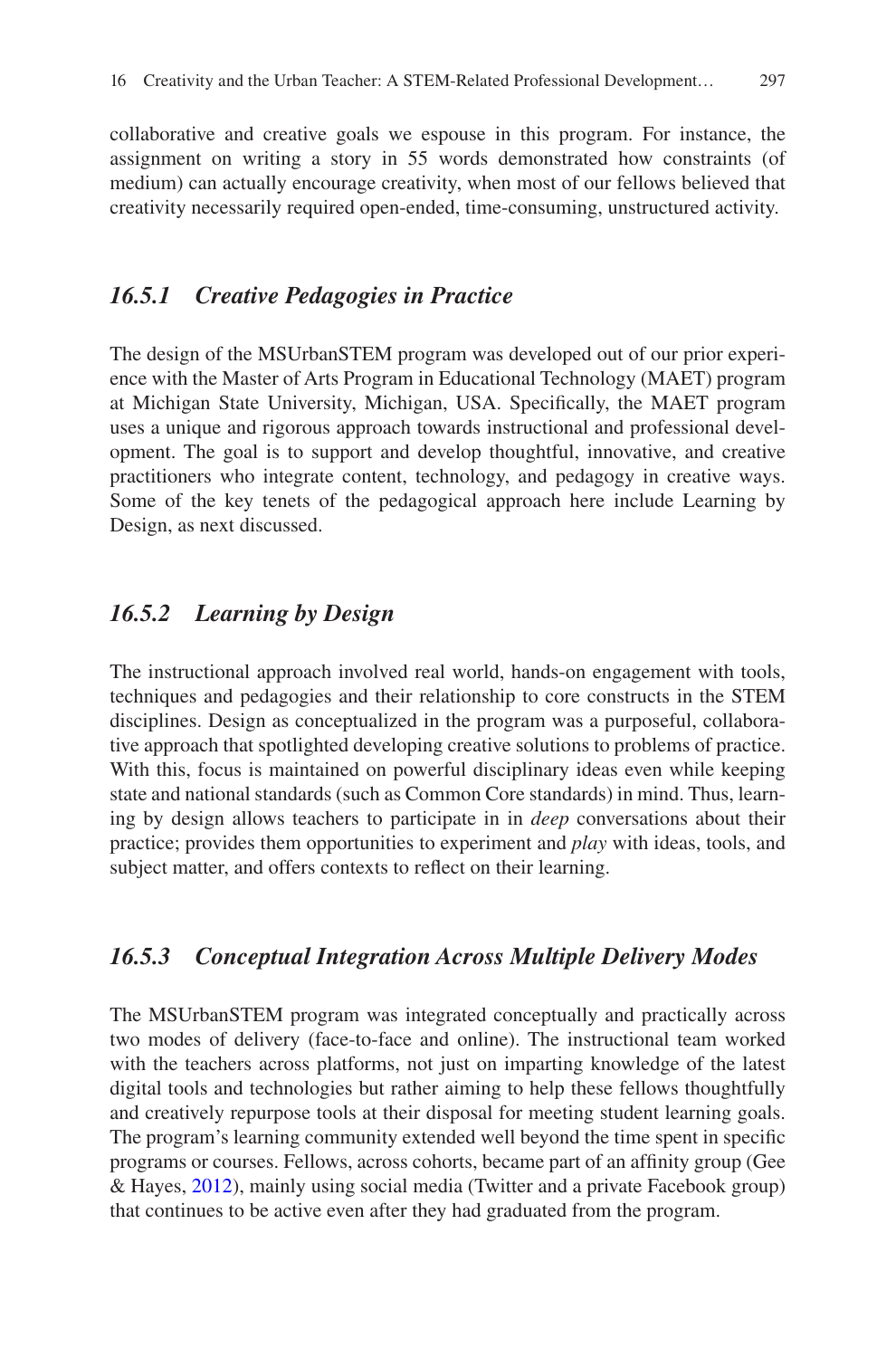collaborative and creative goals we espouse in this program. For instance, the assignment on writing a story in 55 words demonstrated how constraints (of medium) can actually encourage creativity, when most of our fellows believed that creativity necessarily required open-ended, time-consuming, unstructured activity.

### *16.5.1 Creative Pedagogies in Practice*

The design of the MSUrbanSTEM program was developed out of our prior experience with the Master of Arts Program in Educational Technology (MAET) program at Michigan State University, Michigan, USA. Specifically, the MAET program uses a unique and rigorous approach towards instructional and professional development. The goal is to support and develop thoughtful, innovative, and creative practitioners who integrate content, technology, and pedagogy in creative ways. Some of the key tenets of the pedagogical approach here include Learning by Design, as next discussed.

### *16.5.2 Learning by Design*

The instructional approach involved real world, hands-on engagement with tools, techniques and pedagogies and their relationship to core constructs in the STEM disciplines. Design as conceptualized in the program was a purposeful, collaborative approach that spotlighted developing creative solutions to problems of practice. With this, focus is maintained on powerful disciplinary ideas even while keeping state and national standards (such as Common Core standards) in mind. Thus, learning by design allows teachers to participate in in *deep* conversations about their practice; provides them opportunities to experiment and *play* with ideas, tools, and subject matter, and offers contexts to reflect on their learning.

### *16.5.3 Conceptual Integration Across Multiple Delivery Modes*

The MSUrbanSTEM program was integrated conceptually and practically across two modes of delivery (face-to-face and online). The instructional team worked with the teachers across platforms, not just on imparting knowledge of the latest digital tools and technologies but rather aiming to help these fellows thoughtfully and creatively repurpose tools at their disposal for meeting student learning goals. The program's learning community extended well beyond the time spent in specific programs or courses. Fellows, across cohorts, became part of an affinity group (Gee & Hayes, [2012](#page-20-9)), mainly using social media (Twitter and a private Facebook group) that continues to be active even after they had graduated from the program.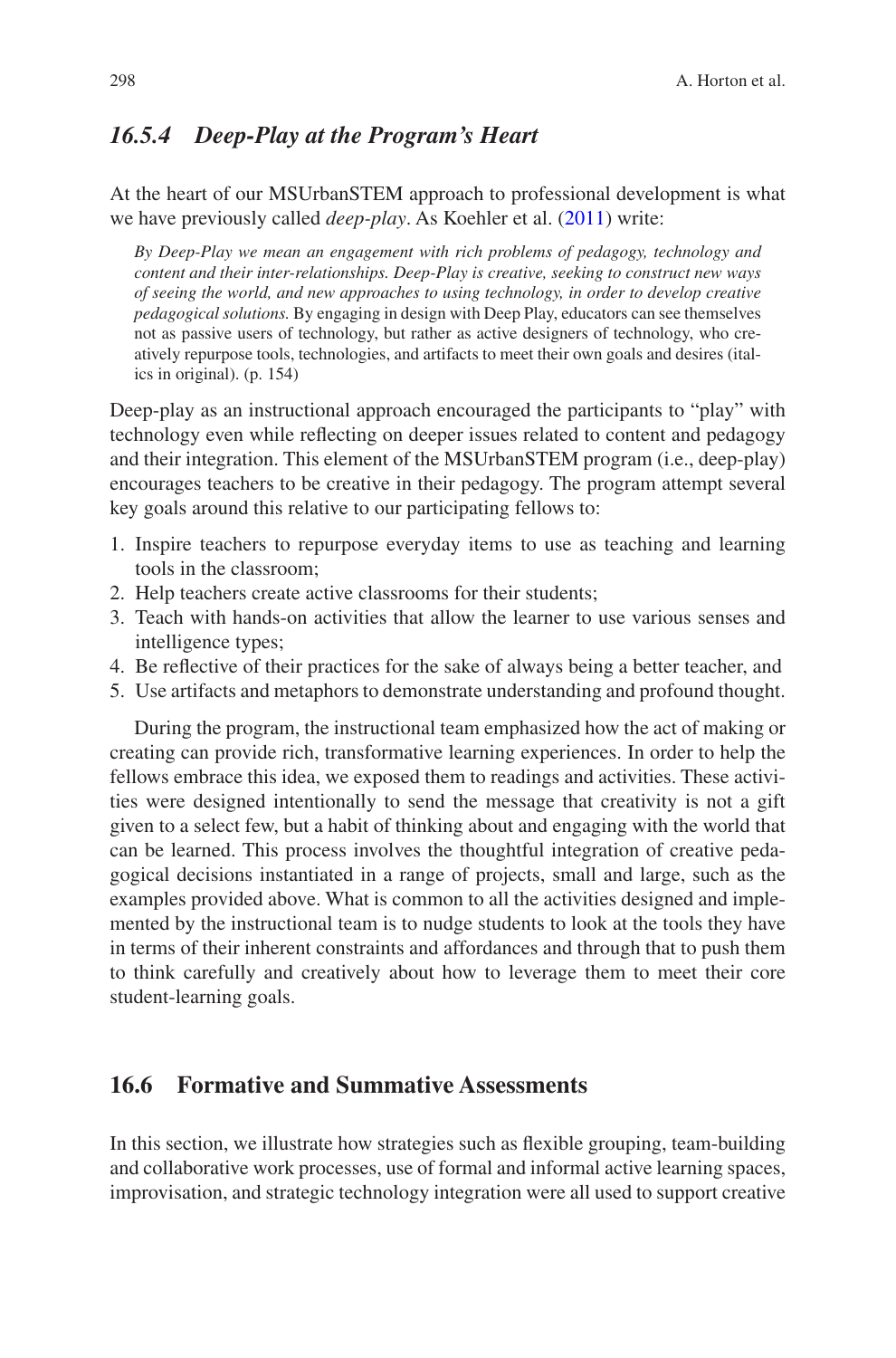### *16.5.4 Deep-Play at the Program's Heart*

At the heart of our MSUrbanSTEM approach to professional development is what we have previously called *deep-play*. As Koehler et al. [\(2011](#page-21-17)) write:

*By Deep-Play we mean an engagement with rich problems of pedagogy, technology and content and their inter-relationships. Deep-Play is creative, seeking to construct new ways of seeing the world, and new approaches to using technology, in order to develop creative pedagogical solutions.* By engaging in design with Deep Play, educators can see themselves not as passive users of technology, but rather as active designers of technology, who creatively repurpose tools, technologies, and artifacts to meet their own goals and desires (italics in original). (p. 154)

Deep-play as an instructional approach encouraged the participants to "play" with technology even while reflecting on deeper issues related to content and pedagogy and their integration. This element of the MSUrbanSTEM program (i.e., deep-play) encourages teachers to be creative in their pedagogy. The program attempt several key goals around this relative to our participating fellows to:

- 1. Inspire teachers to repurpose everyday items to use as teaching and learning tools in the classroom;
- 2. Help teachers create active classrooms for their students;
- 3. Teach with hands-on activities that allow the learner to use various senses and intelligence types;
- 4. Be reflective of their practices for the sake of always being a better teacher, and
- 5. Use artifacts and metaphors to demonstrate understanding and profound thought.

During the program, the instructional team emphasized how the act of making or creating can provide rich, transformative learning experiences. In order to help the fellows embrace this idea, we exposed them to readings and activities. These activities were designed intentionally to send the message that creativity is not a gift given to a select few, but a habit of thinking about and engaging with the world that can be learned. This process involves the thoughtful integration of creative pedagogical decisions instantiated in a range of projects, small and large, such as the examples provided above. What is common to all the activities designed and implemented by the instructional team is to nudge students to look at the tools they have in terms of their inherent constraints and affordances and through that to push them to think carefully and creatively about how to leverage them to meet their core student-learning goals.

## **16.6 Formative and Summative Assessments**

In this section, we illustrate how strategies such as flexible grouping, team-building and collaborative work processes, use of formal and informal active learning spaces, improvisation, and strategic technology integration were all used to support creative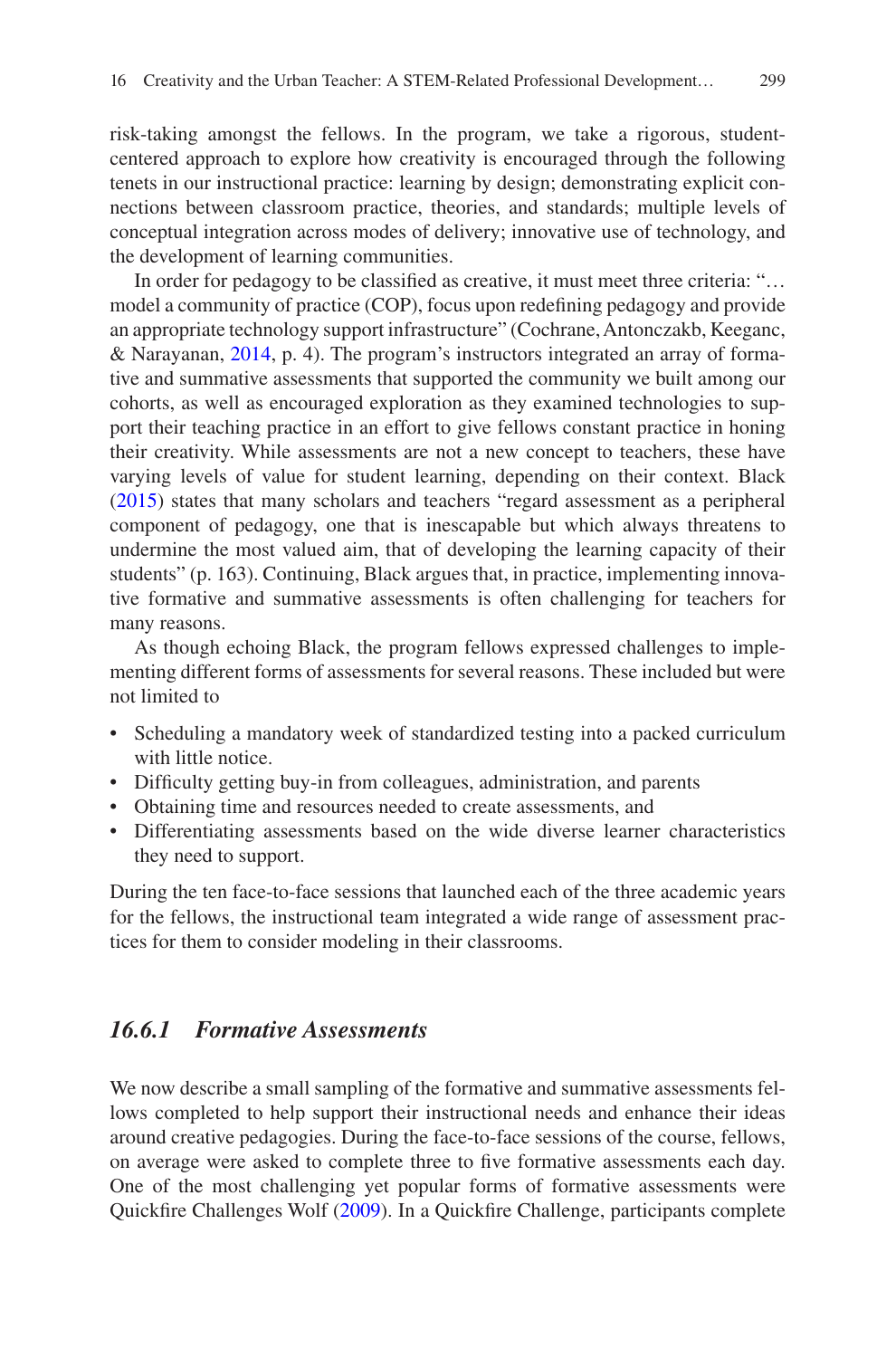risk-taking amongst the fellows. In the program, we take a rigorous, studentcentered approach to explore how creativity is encouraged through the following tenets in our instructional practice: learning by design; demonstrating explicit connections between classroom practice, theories, and standards; multiple levels of conceptual integration across modes of delivery; innovative use of technology, and the development of learning communities.

In order for pedagogy to be classified as creative, it must meet three criteria: "… model a community of practice (COP), focus upon redefining pedagogy and provide an appropriate technology support infrastructure" (Cochrane, Antonczakb, Keeganc, & Narayanan, [2014](#page-20-10), p. 4). The program's instructors integrated an array of formative and summative assessments that supported the community we built among our cohorts, as well as encouraged exploration as they examined technologies to support their teaching practice in an effort to give fellows constant practice in honing their creativity. While assessments are not a new concept to teachers, these have varying levels of value for student learning, depending on their context. Black [\(2015](#page-20-11)) states that many scholars and teachers "regard assessment as a peripheral component of pedagogy, one that is inescapable but which always threatens to undermine the most valued aim, that of developing the learning capacity of their students" (p. 163). Continuing, Black argues that, in practice, implementing innovative formative and summative assessments is often challenging for teachers for many reasons.

As though echoing Black, the program fellows expressed challenges to implementing different forms of assessments for several reasons. These included but were not limited to

- Scheduling a mandatory week of standardized testing into a packed curriculum with little notice.
- Difficulty getting buy-in from colleagues, administration, and parents
- Obtaining time and resources needed to create assessments, and
- Differentiating assessments based on the wide diverse learner characteristics they need to support.

During the ten face-to-face sessions that launched each of the three academic years for the fellows, the instructional team integrated a wide range of assessment practices for them to consider modeling in their classrooms.

### *16.6.1 Formative Assessments*

We now describe a small sampling of the formative and summative assessments fellows completed to help support their instructional needs and enhance their ideas around creative pedagogies. During the face-to-face sessions of the course, fellows, on average were asked to complete three to five formative assessments each day. One of the most challenging yet popular forms of formative assessments were Quickfire Challenges Wolf ([2009\)](#page-22-3). In a Quickfire Challenge, participants complete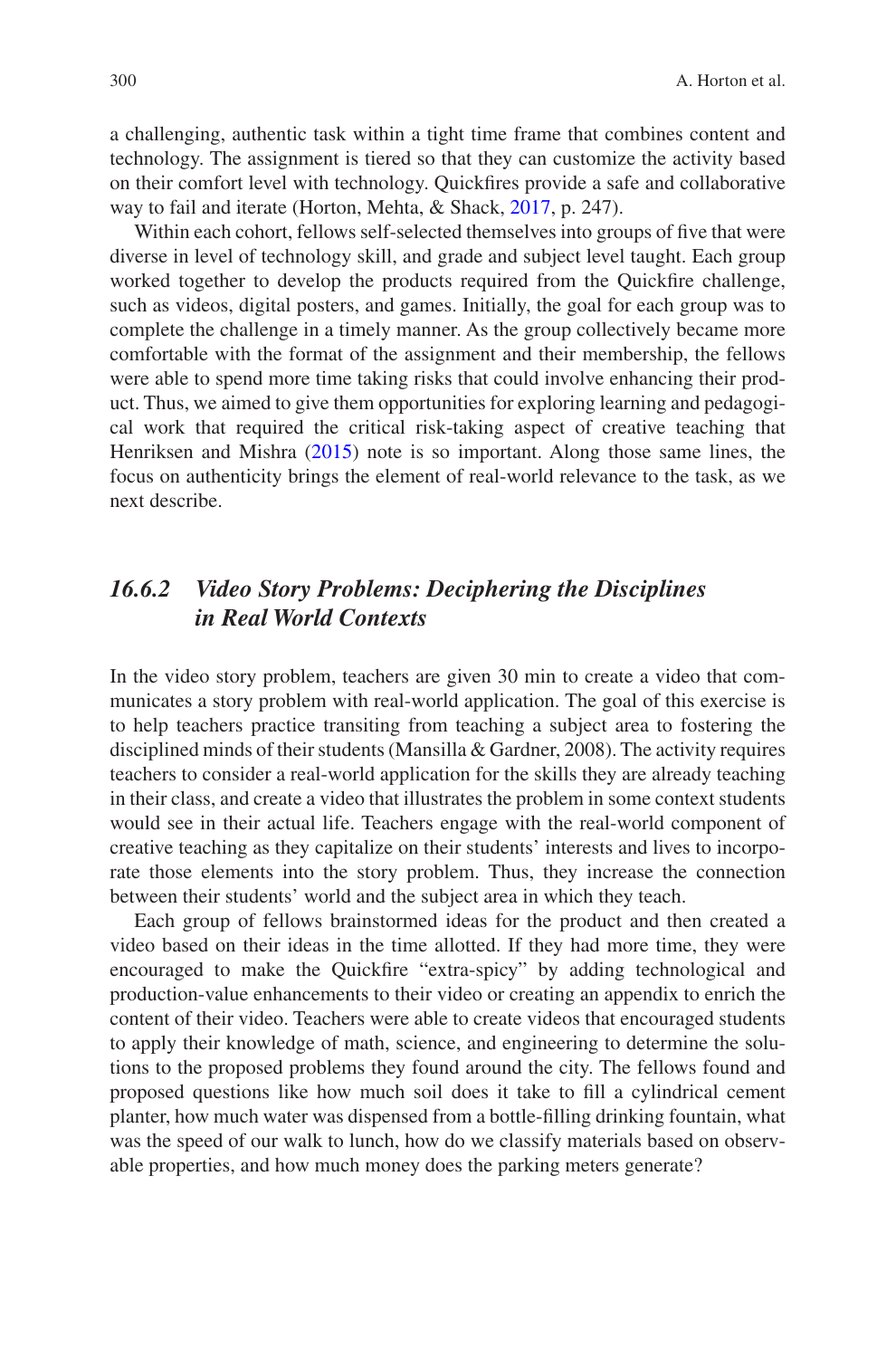a challenging, authentic task within a tight time frame that combines content and technology. The assignment is tiered so that they can customize the activity based on their comfort level with technology. Quickfires provide a safe and collaborative way to fail and iterate (Horton, Mehta, & Shack, [2017](#page-21-19), p. 247).

Within each cohort, fellows self-selected themselves into groups of five that were diverse in level of technology skill, and grade and subject level taught. Each group worked together to develop the products required from the Quickfire challenge, such as videos, digital posters, and games. Initially, the goal for each group was to complete the challenge in a timely manner. As the group collectively became more comfortable with the format of the assignment and their membership, the fellows were able to spend more time taking risks that could involve enhancing their product. Thus, we aimed to give them opportunities for exploring learning and pedagogical work that required the critical risk-taking aspect of creative teaching that Henriksen and Mishra ([2015\)](#page-21-4) note is so important. Along those same lines, the focus on authenticity brings the element of real-world relevance to the task, as we next describe.

# *16.6.2 Video Story Problems: Deciphering the Disciplines in Real World Contexts*

In the video story problem, teachers are given 30 min to create a video that communicates a story problem with real-world application. The goal of this exercise is to help teachers practice transiting from teaching a subject area to fostering the disciplined minds of their students (Mansilla & Gardner, 2008). The activity requires teachers to consider a real-world application for the skills they are already teaching in their class, and create a video that illustrates the problem in some context students would see in their actual life. Teachers engage with the real-world component of creative teaching as they capitalize on their students' interests and lives to incorporate those elements into the story problem. Thus, they increase the connection between their students' world and the subject area in which they teach.

Each group of fellows brainstormed ideas for the product and then created a video based on their ideas in the time allotted. If they had more time, they were encouraged to make the Quickfire "extra-spicy" by adding technological and production-value enhancements to their video or creating an appendix to enrich the content of their video. Teachers were able to create videos that encouraged students to apply their knowledge of math, science, and engineering to determine the solutions to the proposed problems they found around the city. The fellows found and proposed questions like how much soil does it take to fill a cylindrical cement planter, how much water was dispensed from a bottle-filling drinking fountain, what was the speed of our walk to lunch, how do we classify materials based on observable properties, and how much money does the parking meters generate?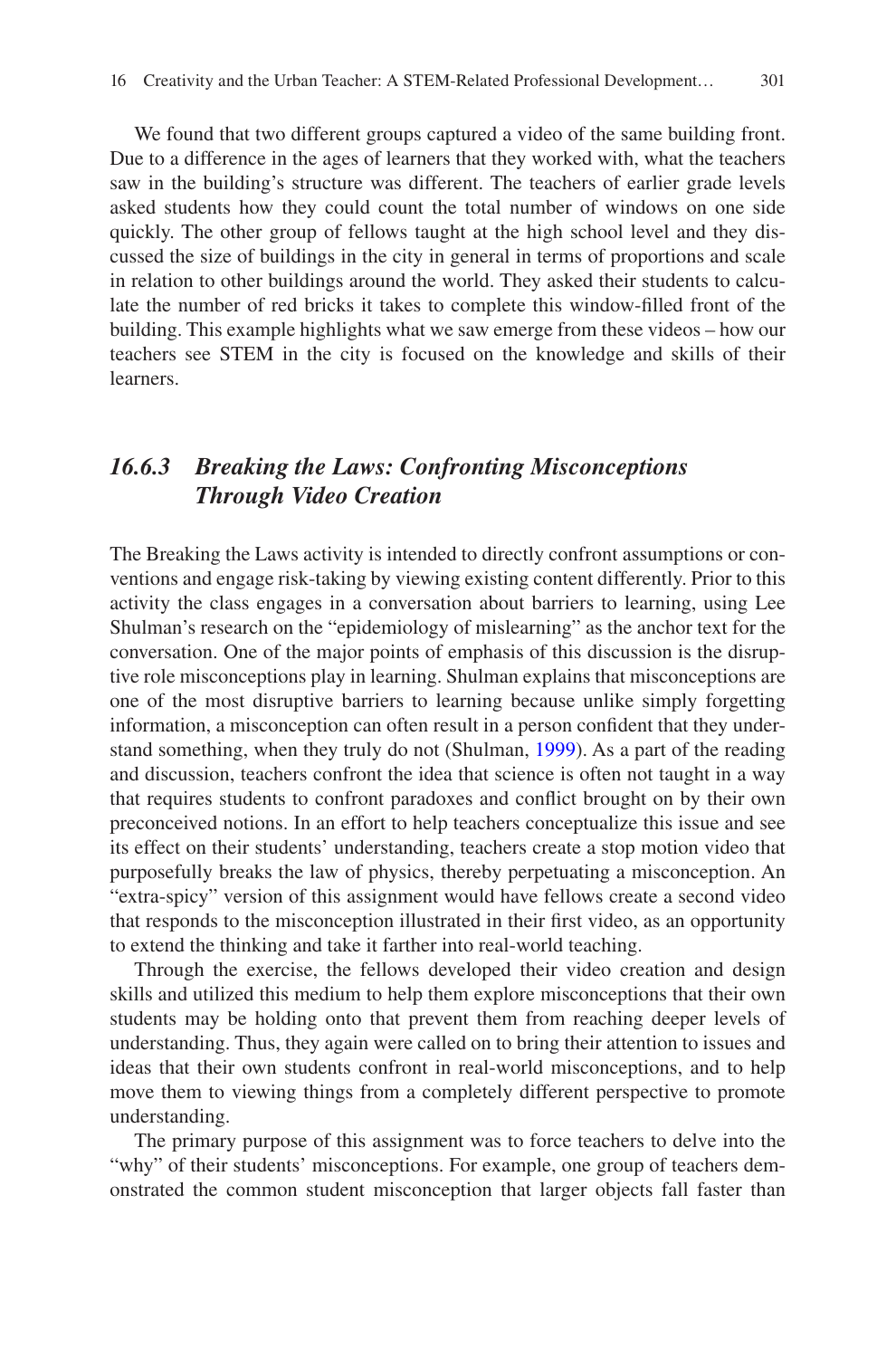We found that two different groups captured a video of the same building front. Due to a difference in the ages of learners that they worked with, what the teachers saw in the building's structure was different. The teachers of earlier grade levels asked students how they could count the total number of windows on one side quickly. The other group of fellows taught at the high school level and they discussed the size of buildings in the city in general in terms of proportions and scale in relation to other buildings around the world. They asked their students to calculate the number of red bricks it takes to complete this window-filled front of the building. This example highlights what we saw emerge from these videos – how our teachers see STEM in the city is focused on the knowledge and skills of their learners.

## *16.6.3 Breaking the Laws: Confronting Misconceptions Through Video Creation*

The Breaking the Laws activity is intended to directly confront assumptions or conventions and engage risk-taking by viewing existing content differently. Prior to this activity the class engages in a conversation about barriers to learning, using Lee Shulman's research on the "epidemiology of mislearning" as the anchor text for the conversation. One of the major points of emphasis of this discussion is the disruptive role misconceptions play in learning. Shulman explains that misconceptions are one of the most disruptive barriers to learning because unlike simply forgetting information, a misconception can often result in a person confident that they understand something, when they truly do not (Shulman, [1999](#page-22-4)). As a part of the reading and discussion, teachers confront the idea that science is often not taught in a way that requires students to confront paradoxes and conflict brought on by their own preconceived notions. In an effort to help teachers conceptualize this issue and see its effect on their students' understanding, teachers create a stop motion video that purposefully breaks the law of physics, thereby perpetuating a misconception. An "extra-spicy" version of this assignment would have fellows create a second video that responds to the misconception illustrated in their first video, as an opportunity to extend the thinking and take it farther into real-world teaching.

Through the exercise, the fellows developed their video creation and design skills and utilized this medium to help them explore misconceptions that their own students may be holding onto that prevent them from reaching deeper levels of understanding. Thus, they again were called on to bring their attention to issues and ideas that their own students confront in real-world misconceptions, and to help move them to viewing things from a completely different perspective to promote understanding.

The primary purpose of this assignment was to force teachers to delve into the "why" of their students' misconceptions. For example, one group of teachers demonstrated the common student misconception that larger objects fall faster than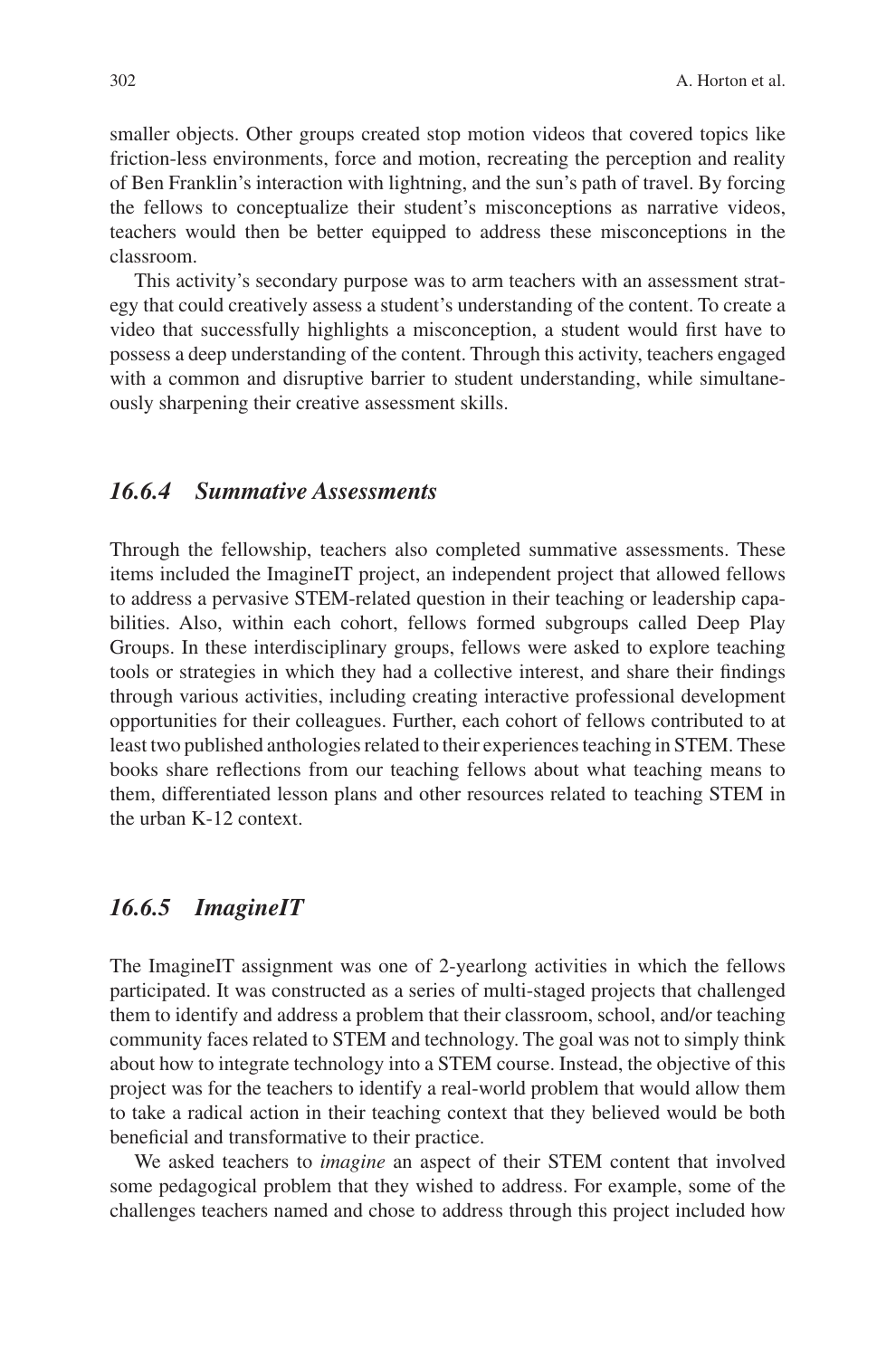smaller objects. Other groups created stop motion videos that covered topics like friction-less environments, force and motion, recreating the perception and reality of Ben Franklin's interaction with lightning, and the sun's path of travel. By forcing the fellows to conceptualize their student's misconceptions as narrative videos, teachers would then be better equipped to address these misconceptions in the classroom.

This activity's secondary purpose was to arm teachers with an assessment strategy that could creatively assess a student's understanding of the content. To create a video that successfully highlights a misconception, a student would first have to possess a deep understanding of the content. Through this activity, teachers engaged with a common and disruptive barrier to student understanding, while simultaneously sharpening their creative assessment skills.

### *16.6.4 Summative Assessments*

Through the fellowship, teachers also completed summative assessments. These items included the ImagineIT project, an independent project that allowed fellows to address a pervasive STEM-related question in their teaching or leadership capabilities. Also, within each cohort, fellows formed subgroups called Deep Play Groups. In these interdisciplinary groups, fellows were asked to explore teaching tools or strategies in which they had a collective interest, and share their findings through various activities, including creating interactive professional development opportunities for their colleagues. Further, each cohort of fellows contributed to at least two published anthologies related to their experiences teaching in STEM. These books share reflections from our teaching fellows about what teaching means to them, differentiated lesson plans and other resources related to teaching STEM in the urban K-12 context.

#### *16.6.5 ImagineIT*

The ImagineIT assignment was one of 2-yearlong activities in which the fellows participated. It was constructed as a series of multi-staged projects that challenged them to identify and address a problem that their classroom, school, and/or teaching community faces related to STEM and technology. The goal was not to simply think about how to integrate technology into a STEM course. Instead, the objective of this project was for the teachers to identify a real-world problem that would allow them to take a radical action in their teaching context that they believed would be both beneficial and transformative to their practice.

We asked teachers to *imagine* an aspect of their STEM content that involved some pedagogical problem that they wished to address. For example, some of the challenges teachers named and chose to address through this project included how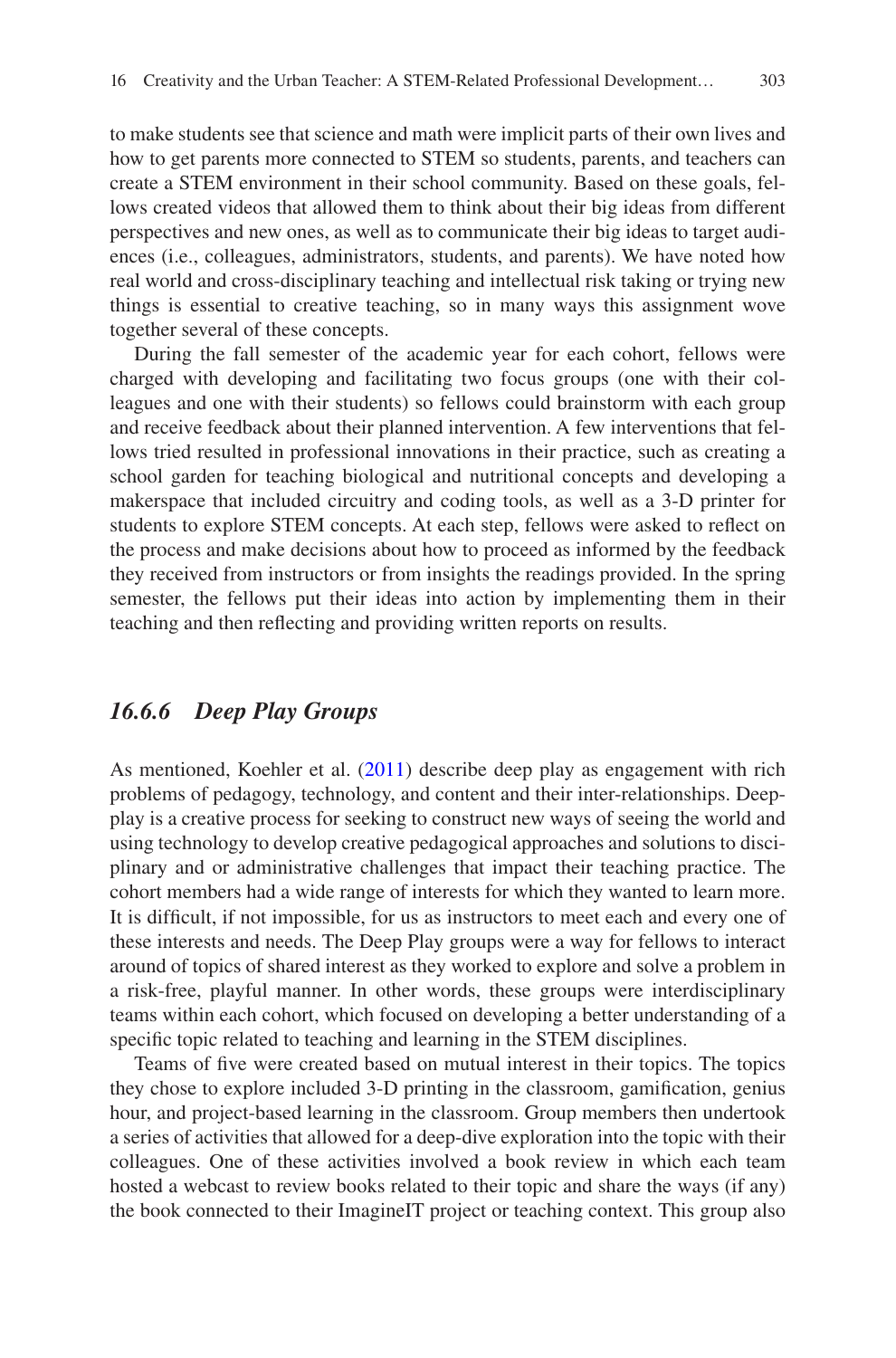to make students see that science and math were implicit parts of their own lives and how to get parents more connected to STEM so students, parents, and teachers can create a STEM environment in their school community. Based on these goals, fellows created videos that allowed them to think about their big ideas from different perspectives and new ones, as well as to communicate their big ideas to target audiences (i.e., colleagues, administrators, students, and parents). We have noted how real world and cross-disciplinary teaching and intellectual risk taking or trying new things is essential to creative teaching, so in many ways this assignment wove together several of these concepts.

During the fall semester of the academic year for each cohort, fellows were charged with developing and facilitating two focus groups (one with their colleagues and one with their students) so fellows could brainstorm with each group and receive feedback about their planned intervention. A few interventions that fellows tried resulted in professional innovations in their practice, such as creating a school garden for teaching biological and nutritional concepts and developing a makerspace that included circuitry and coding tools, as well as a 3-D printer for students to explore STEM concepts. At each step, fellows were asked to reflect on the process and make decisions about how to proceed as informed by the feedback they received from instructors or from insights the readings provided. In the spring semester, the fellows put their ideas into action by implementing them in their teaching and then reflecting and providing written reports on results.

### *16.6.6 Deep Play Groups*

As mentioned, Koehler et al. ([2011\)](#page-21-17) describe deep play as engagement with rich problems of pedagogy, technology, and content and their inter-relationships. Deepplay is a creative process for seeking to construct new ways of seeing the world and using technology to develop creative pedagogical approaches and solutions to disciplinary and or administrative challenges that impact their teaching practice. The cohort members had a wide range of interests for which they wanted to learn more. It is difficult, if not impossible, for us as instructors to meet each and every one of these interests and needs. The Deep Play groups were a way for fellows to interact around of topics of shared interest as they worked to explore and solve a problem in a risk-free, playful manner. In other words, these groups were interdisciplinary teams within each cohort, which focused on developing a better understanding of a specific topic related to teaching and learning in the STEM disciplines.

Teams of five were created based on mutual interest in their topics. The topics they chose to explore included 3-D printing in the classroom, gamification, genius hour, and project-based learning in the classroom. Group members then undertook a series of activities that allowed for a deep-dive exploration into the topic with their colleagues. One of these activities involved a book review in which each team hosted a webcast to review books related to their topic and share the ways (if any) the book connected to their ImagineIT project or teaching context. This group also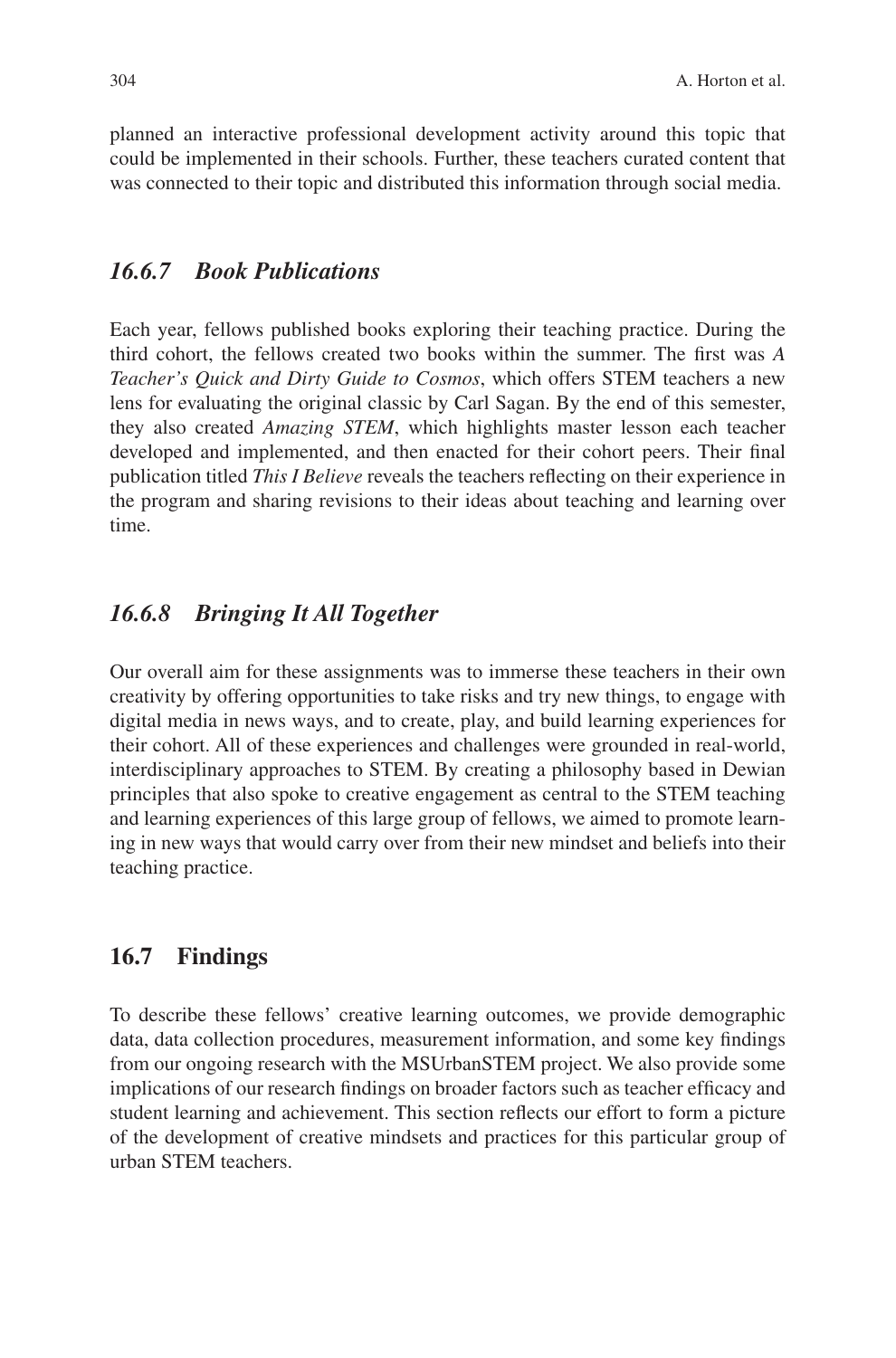planned an interactive professional development activity around this topic that could be implemented in their schools. Further, these teachers curated content that was connected to their topic and distributed this information through social media.

### *16.6.7 Book Publications*

Each year, fellows published books exploring their teaching practice. During the third cohort, the fellows created two books within the summer. The first was *A Teacher's Quick and Dirty Guide to Cosmos*, which offers STEM teachers a new lens for evaluating the original classic by Carl Sagan. By the end of this semester, they also created *Amazing STEM*, which highlights master lesson each teacher developed and implemented, and then enacted for their cohort peers. Their final publication titled *This I Believe* reveals the teachers reflecting on their experience in the program and sharing revisions to their ideas about teaching and learning over time.

### *16.6.8 Bringing It All Together*

Our overall aim for these assignments was to immerse these teachers in their own creativity by offering opportunities to take risks and try new things, to engage with digital media in news ways, and to create, play, and build learning experiences for their cohort. All of these experiences and challenges were grounded in real-world, interdisciplinary approaches to STEM. By creating a philosophy based in Dewian principles that also spoke to creative engagement as central to the STEM teaching and learning experiences of this large group of fellows, we aimed to promote learning in new ways that would carry over from their new mindset and beliefs into their teaching practice.

### **16.7 Findings**

To describe these fellows' creative learning outcomes, we provide demographic data, data collection procedures, measurement information, and some key findings from our ongoing research with the MSUrbanSTEM project. We also provide some implications of our research findings on broader factors such as teacher efficacy and student learning and achievement. This section reflects our effort to form a picture of the development of creative mindsets and practices for this particular group of urban STEM teachers.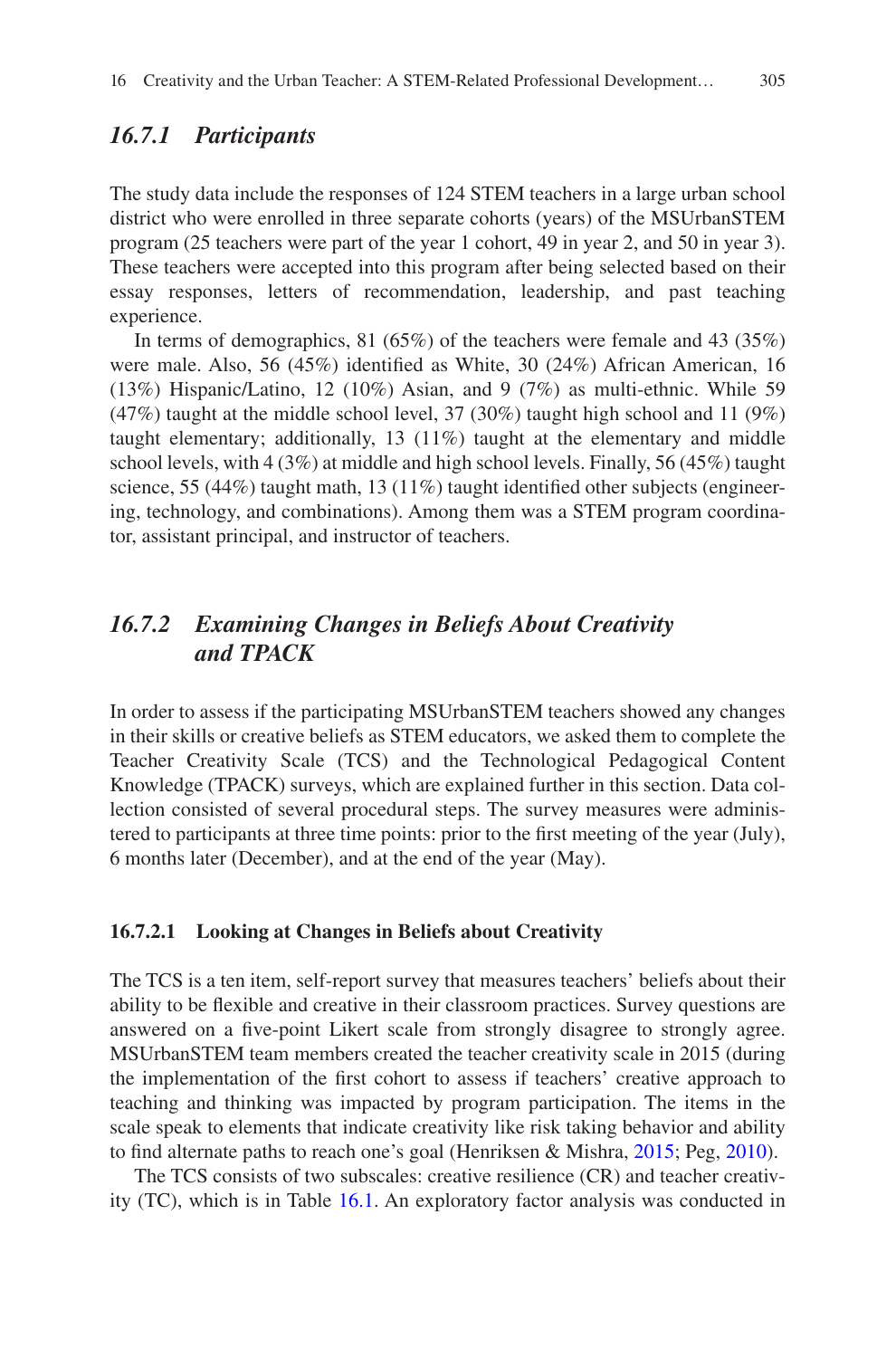### *16.7.1 Participants*

The study data include the responses of 124 STEM teachers in a large urban school district who were enrolled in three separate cohorts (years) of the MSUrbanSTEM program (25 teachers were part of the year 1 cohort, 49 in year 2, and 50 in year 3). These teachers were accepted into this program after being selected based on their essay responses, letters of recommendation, leadership, and past teaching experience.

In terms of demographics, 81 (65%) of the teachers were female and 43 (35%) were male. Also, 56 (45%) identified as White, 30 (24%) African American, 16 (13%) Hispanic/Latino, 12 (10%) Asian, and 9 (7%) as multi-ethnic. While 59 (47%) taught at the middle school level, 37 (30%) taught high school and 11 (9%) taught elementary; additionally, 13 (11%) taught at the elementary and middle school levels, with 4 (3%) at middle and high school levels. Finally, 56 (45%) taught science, 55 (44%) taught math, 13 (11%) taught identified other subjects (engineering, technology, and combinations). Among them was a STEM program coordinator, assistant principal, and instructor of teachers.

# *16.7.2 Examining Changes in Beliefs About Creativity and TPACK*

In order to assess if the participating MSUrbanSTEM teachers showed any changes in their skills or creative beliefs as STEM educators, we asked them to complete the Teacher Creativity Scale (TCS) and the Technological Pedagogical Content Knowledge (TPACK) surveys, which are explained further in this section. Data collection consisted of several procedural steps. The survey measures were administered to participants at three time points: prior to the first meeting of the year (July), 6 months later (December), and at the end of the year (May).

#### **16.7.2.1 Looking at Changes in Beliefs about Creativity**

The TCS is a ten item, self-report survey that measures teachers' beliefs about their ability to be flexible and creative in their classroom practices. Survey questions are answered on a five-point Likert scale from strongly disagree to strongly agree. MSUrbanSTEM team members created the teacher creativity scale in 2015 (during the implementation of the first cohort to assess if teachers' creative approach to teaching and thinking was impacted by program participation. The items in the scale speak to elements that indicate creativity like risk taking behavior and ability to find alternate paths to reach one's goal (Henriksen & Mishra, [2015](#page-21-4); Peg, [2010](#page-21-5)).

The TCS consists of two subscales: creative resilience (CR) and teacher creativity (TC), which is in Table [16.1.](#page-17-0) An exploratory factor analysis was conducted in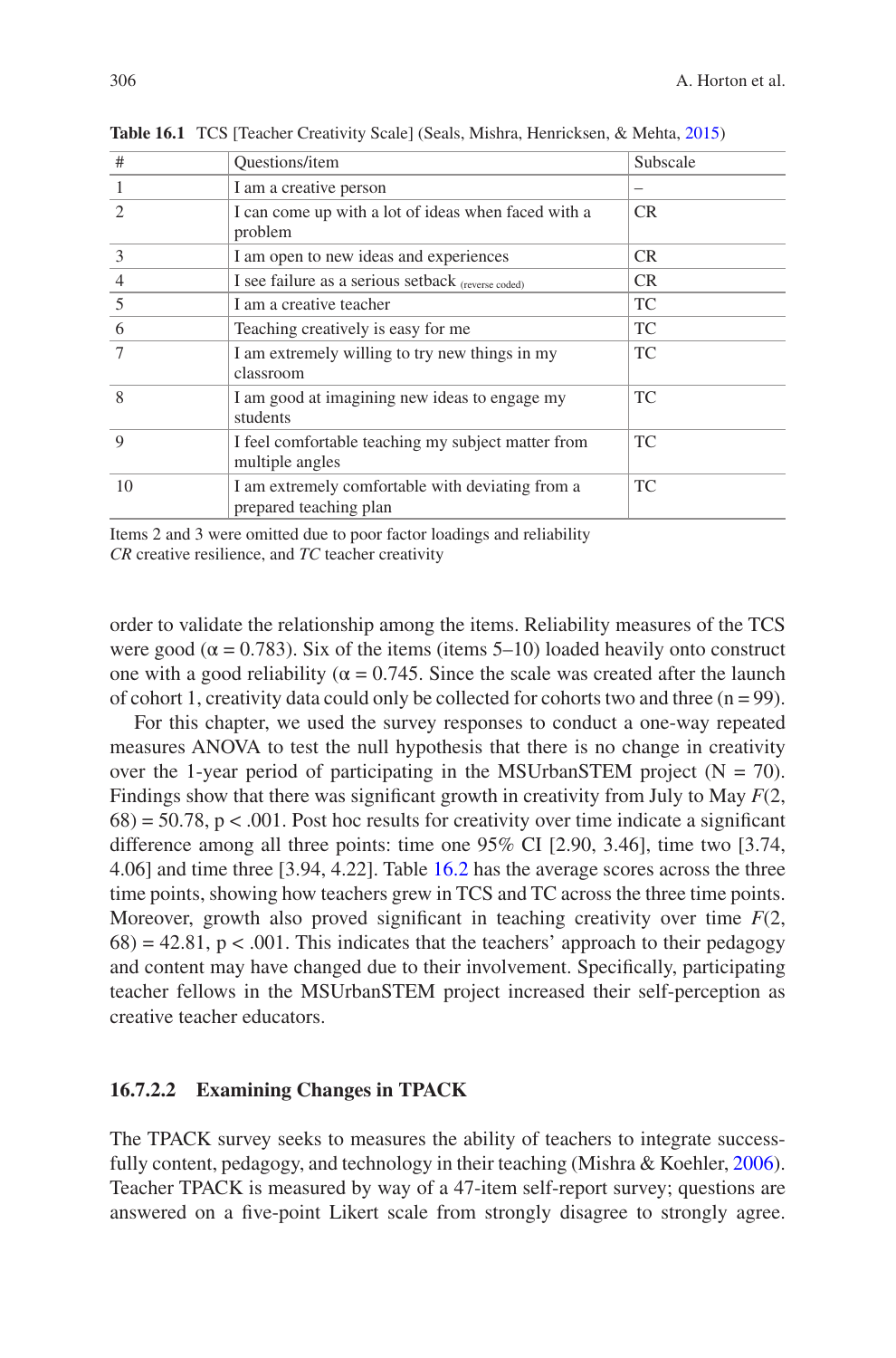| #              | Questions/item                                                             | Subscale  |
|----------------|----------------------------------------------------------------------------|-----------|
| 1              | I am a creative person                                                     | -         |
| $\mathcal{D}$  | I can come up with a lot of ideas when faced with a<br>problem             | CR.       |
| 3              | I am open to new ideas and experiences                                     | <b>CR</b> |
| $\overline{4}$ | I see failure as a serious setback (reverse coded)                         | <b>CR</b> |
| 5              | I am a creative teacher                                                    | TC.       |
| 6              | Teaching creatively is easy for me                                         | TC.       |
|                | I am extremely willing to try new things in my<br>classroom                | TC.       |
| 8              | I am good at imagining new ideas to engage my<br>students                  | TC        |
| 9              | I feel comfortable teaching my subject matter from<br>multiple angles      | TC.       |
| 10             | I am extremely comfortable with deviating from a<br>prepared teaching plan | TC.       |

<span id="page-17-0"></span>**Table 16.1** TCS [Teacher Creativity Scale] (Seals, Mishra, Henricksen, & Mehta, [2015](#page-22-5))

Items 2 and 3 were omitted due to poor factor loadings and reliability *CR* creative resilience, and *TC* teacher creativity

order to validate the relationship among the items. Reliability measures of the TCS were good ( $\alpha$  = 0.783). Six of the items (items 5–10) loaded heavily onto construct one with a good reliability ( $\alpha = 0.745$ . Since the scale was created after the launch of cohort 1, creativity data could only be collected for cohorts two and three  $(n = 99)$ .

For this chapter, we used the survey responses to conduct a one-way repeated measures ANOVA to test the null hypothesis that there is no change in creativity over the 1-year period of participating in the MSUrbanSTEM project  $(N = 70)$ . Findings show that there was significant growth in creativity from July to May *F*(2,  $68$ ) = 50.78, p < .001. Post hoc results for creativity over time indicate a significant difference among all three points: time one 95% CI [2.90, 3.46], time two [3.74, 4.06] and time three [3.94, 4.22]. Table [16.2](#page-18-0) has the average scores across the three time points, showing how teachers grew in TCS and TC across the three time points. Moreover, growth also proved significant in teaching creativity over time *F*(2,  $68$ ) = 42.81, p < .001. This indicates that the teachers' approach to their pedagogy and content may have changed due to their involvement. Specifically, participating teacher fellows in the MSUrbanSTEM project increased their self-perception as creative teacher educators.

#### **16.7.2.2 Examining Changes in TPACK**

The TPACK survey seeks to measures the ability of teachers to integrate successfully content, pedagogy, and technology in their teaching (Mishra & Koehler, [2006\)](#page-21-20). Teacher TPACK is measured by way of a 47-item self-report survey; questions are answered on a five-point Likert scale from strongly disagree to strongly agree.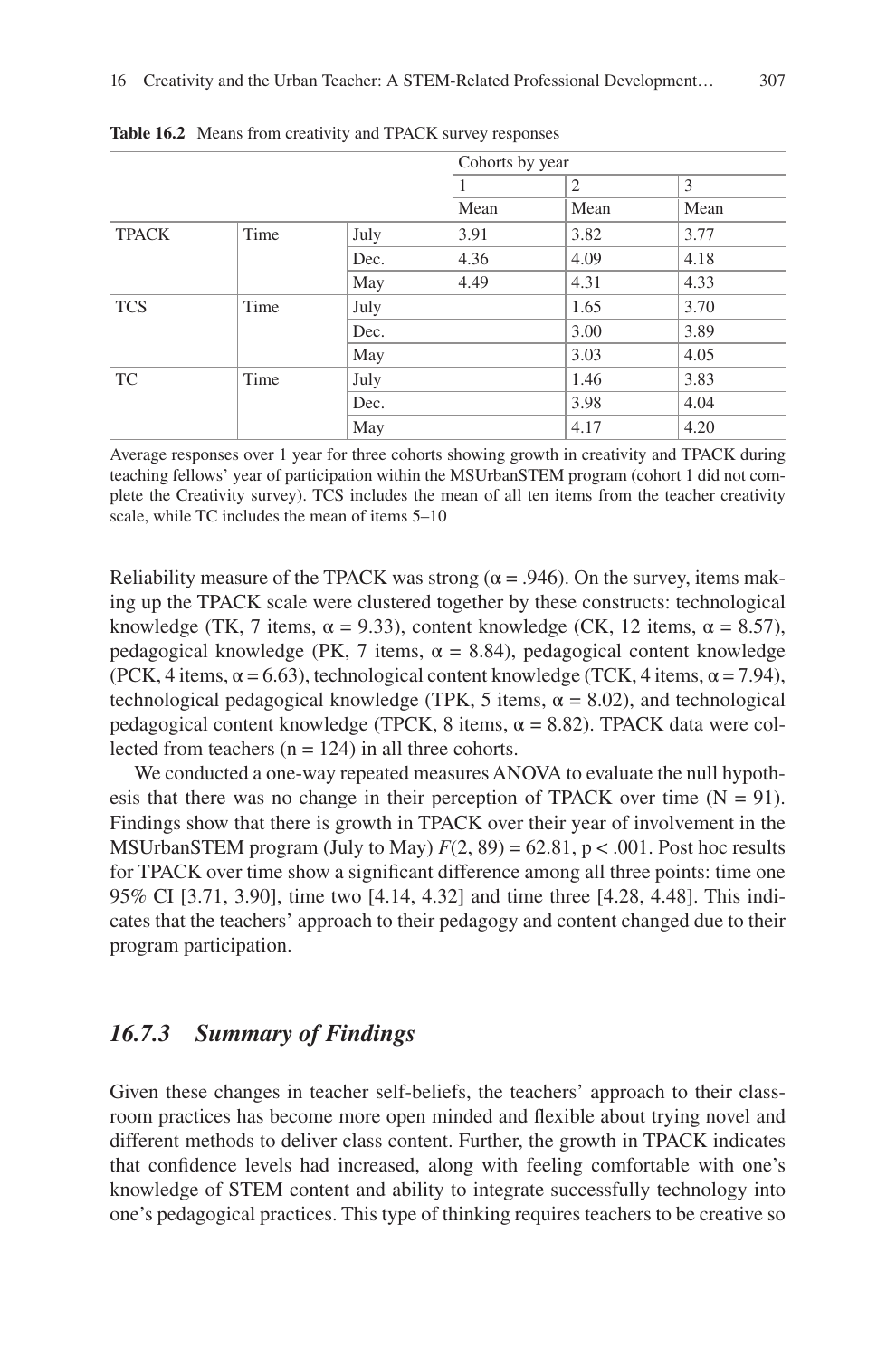|              |      |      | Cohorts by year |      |      |
|--------------|------|------|-----------------|------|------|
|              |      |      | 1               | 2    | 3    |
|              |      |      | Mean            | Mean | Mean |
| <b>TPACK</b> | Time | July | 3.91            | 3.82 | 3.77 |
|              |      | Dec. | 4.36            | 4.09 | 4.18 |
|              |      | May  | 4.49            | 4.31 | 4.33 |
| <b>TCS</b>   | Time | July |                 | 1.65 | 3.70 |
|              |      | Dec. |                 | 3.00 | 3.89 |
|              |      | May  |                 | 3.03 | 4.05 |
| <b>TC</b>    | Time | July |                 | 1.46 | 3.83 |
|              |      | Dec. |                 | 3.98 | 4.04 |
|              |      | May  |                 | 4.17 | 4.20 |

<span id="page-18-0"></span>**Table 16.2** Means from creativity and TPACK survey responses

Average responses over 1 year for three cohorts showing growth in creativity and TPACK during teaching fellows' year of participation within the MSUrbanSTEM program (cohort 1 did not complete the Creativity survey). TCS includes the mean of all ten items from the teacher creativity scale, while TC includes the mean of items 5–10

Reliability measure of the TPACK was strong ( $\alpha$  = .946). On the survey, items making up the TPACK scale were clustered together by these constructs: technological knowledge (TK, 7 items,  $\alpha$  = 9.33), content knowledge (CK, 12 items,  $\alpha$  = 8.57), pedagogical knowledge (PK, 7 items,  $\alpha = 8.84$ ), pedagogical content knowledge (PCK, 4 items,  $\alpha$  = 6.63), technological content knowledge (TCK, 4 items,  $\alpha$  = 7.94), technological pedagogical knowledge (TPK, 5 items,  $\alpha = 8.02$ ), and technological pedagogical content knowledge (TPCK, 8 items, α = 8.82). TPACK data were collected from teachers  $(n = 124)$  in all three cohorts.

We conducted a one-way repeated measures ANOVA to evaluate the null hypothesis that there was no change in their perception of TPACK over time  $(N = 91)$ . Findings show that there is growth in TPACK over their year of involvement in the MSUrbanSTEM program (July to May)  $F(2, 89) = 62.81$ ,  $p < .001$ . Post hoc results for TPACK over time show a significant difference among all three points: time one 95% CI [3.71, 3.90], time two [4.14, 4.32] and time three [4.28, 4.48]. This indicates that the teachers' approach to their pedagogy and content changed due to their program participation.

### *16.7.3 Summary of Findings*

Given these changes in teacher self-beliefs, the teachers' approach to their classroom practices has become more open minded and flexible about trying novel and different methods to deliver class content. Further, the growth in TPACK indicates that confidence levels had increased, along with feeling comfortable with one's knowledge of STEM content and ability to integrate successfully technology into one's pedagogical practices. This type of thinking requires teachers to be creative so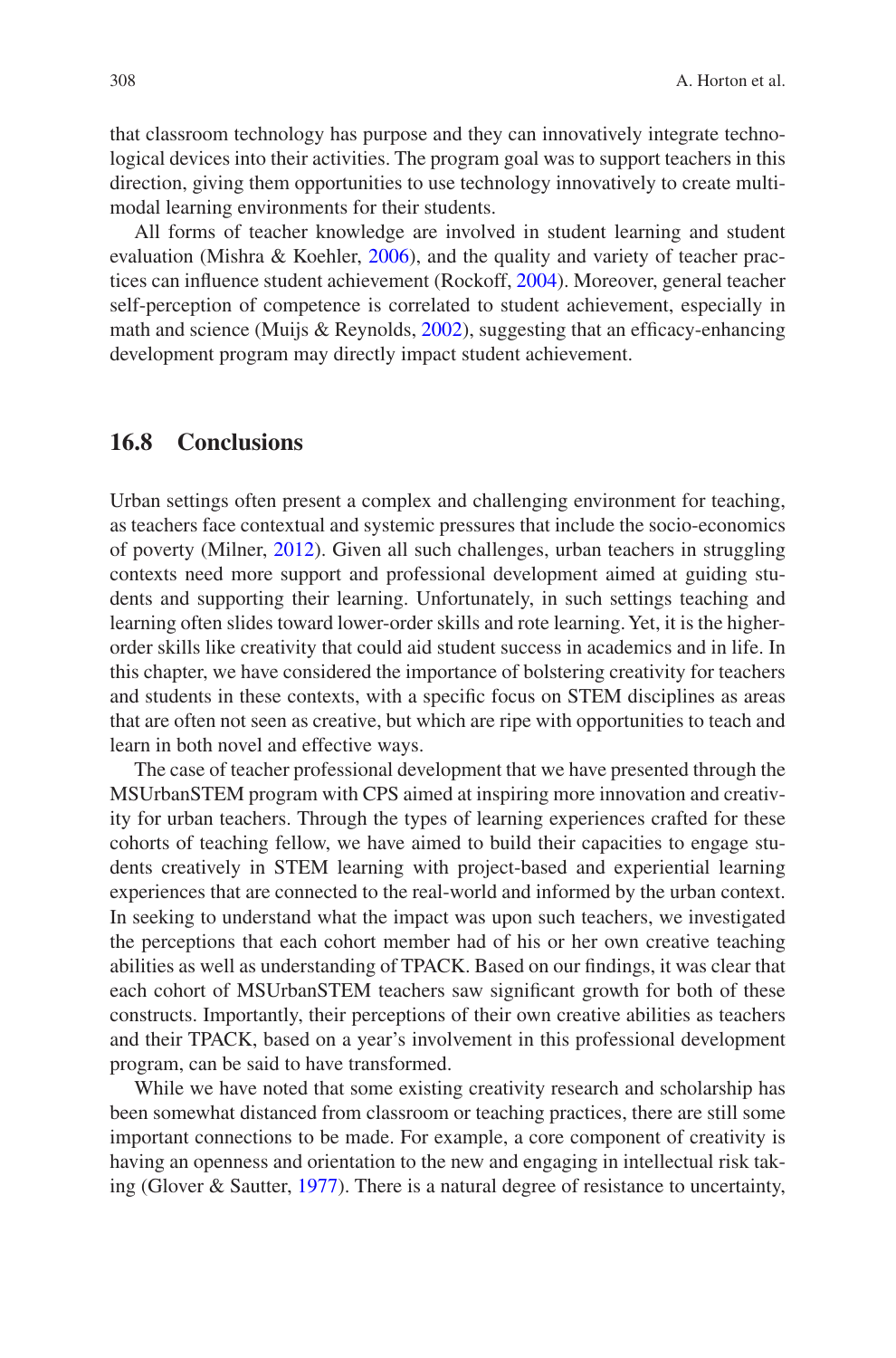that classroom technology has purpose and they can innovatively integrate technological devices into their activities. The program goal was to support teachers in this direction, giving them opportunities to use technology innovatively to create multimodal learning environments for their students.

All forms of teacher knowledge are involved in student learning and student evaluation (Mishra & Koehler, [2006\)](#page-21-20), and the quality and variety of teacher practices can influence student achievement (Rockoff, [2004](#page-21-21)). Moreover, general teacher self-perception of competence is correlated to student achievement, especially in math and science (Muijs & Reynolds, [2002\)](#page-21-22), suggesting that an efficacy-enhancing development program may directly impact student achievement.

### **16.8 Conclusions**

Urban settings often present a complex and challenging environment for teaching, as teachers face contextual and systemic pressures that include the socio-economics of poverty (Milner, [2012](#page-21-0)). Given all such challenges, urban teachers in struggling contexts need more support and professional development aimed at guiding students and supporting their learning. Unfortunately, in such settings teaching and learning often slides toward lower-order skills and rote learning. Yet, it is the higherorder skills like creativity that could aid student success in academics and in life. In this chapter, we have considered the importance of bolstering creativity for teachers and students in these contexts, with a specific focus on STEM disciplines as areas that are often not seen as creative, but which are ripe with opportunities to teach and learn in both novel and effective ways.

The case of teacher professional development that we have presented through the MSUrbanSTEM program with CPS aimed at inspiring more innovation and creativity for urban teachers. Through the types of learning experiences crafted for these cohorts of teaching fellow, we have aimed to build their capacities to engage students creatively in STEM learning with project-based and experiential learning experiences that are connected to the real-world and informed by the urban context. In seeking to understand what the impact was upon such teachers, we investigated the perceptions that each cohort member had of his or her own creative teaching abilities as well as understanding of TPACK. Based on our findings, it was clear that each cohort of MSUrbanSTEM teachers saw significant growth for both of these constructs. Importantly, their perceptions of their own creative abilities as teachers and their TPACK, based on a year's involvement in this professional development program, can be said to have transformed.

While we have noted that some existing creativity research and scholarship has been somewhat distanced from classroom or teaching practices, there are still some important connections to be made. For example, a core component of creativity is having an openness and orientation to the new and engaging in intellectual risk taking (Glover & Sautter, [1977\)](#page-20-12). There is a natural degree of resistance to uncertainty,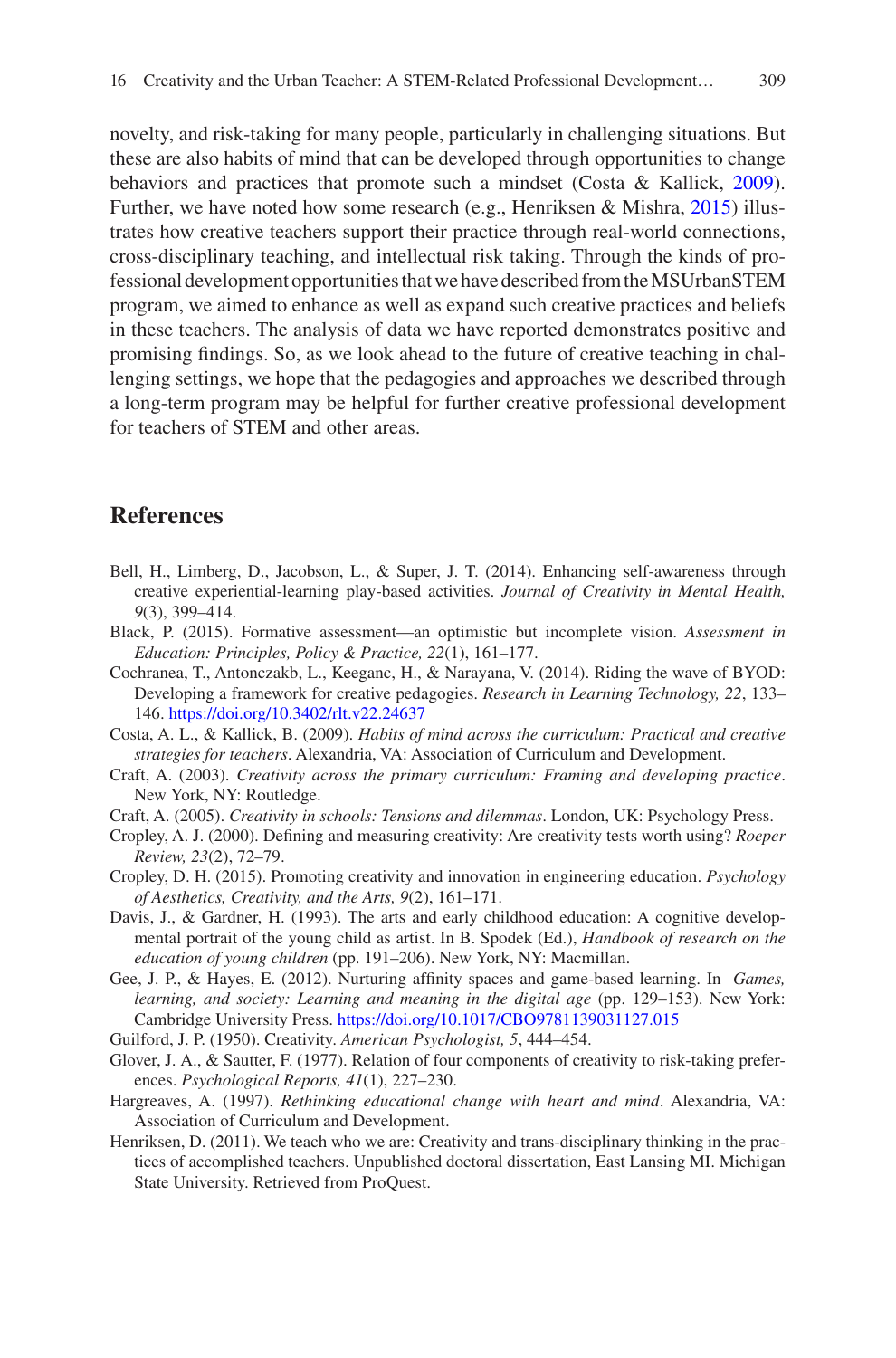novelty, and risk-taking for many people, particularly in challenging situations. But these are also habits of mind that can be developed through opportunities to change behaviors and practices that promote such a mindset (Costa & Kallick, [2009\)](#page-20-13). Further, we have noted how some research (e.g., Henriksen & Mishra, [2015\)](#page-21-4) illustrates how creative teachers support their practice through real-world connections, cross-disciplinary teaching, and intellectual risk taking. Through the kinds of professional development opportunities that we have described from the MSUrbanSTEM program, we aimed to enhance as well as expand such creative practices and beliefs in these teachers. The analysis of data we have reported demonstrates positive and promising findings. So, as we look ahead to the future of creative teaching in challenging settings, we hope that the pedagogies and approaches we described through a long-term program may be helpful for further creative professional development for teachers of STEM and other areas.

### **References**

- <span id="page-20-0"></span>Bell, H., Limberg, D., Jacobson, L., & Super, J. T. (2014). Enhancing self-awareness through creative experiential-learning play-based activities. *Journal of Creativity in Mental Health, 9*(3), 399–414.
- <span id="page-20-11"></span>Black, P. (2015). Formative assessment—an optimistic but incomplete vision. *Assessment in Education: Principles, Policy & Practice, 22*(1), 161–177.
- <span id="page-20-10"></span>Cochranea, T., Antonczakb, L., Keeganc, H., & Narayana, V. (2014). Riding the wave of BYOD: Developing a framework for creative pedagogies. *Research in Learning Technology, 22*, 133– 146. <https://doi.org/10.3402/rlt.v22.24637>
- <span id="page-20-13"></span>Costa, A. L., & Kallick, B. (2009). *Habits of mind across the curriculum: Practical and creative strategies for teachers*. Alexandria, VA: Association of Curriculum and Development.
- <span id="page-20-5"></span>Craft, A. (2003). *Creativity across the primary curriculum: Framing and developing practice*. New York, NY: Routledge.
- <span id="page-20-6"></span>Craft, A. (2005). *Creativity in schools: Tensions and dilemmas*. London, UK: Psychology Press.
- <span id="page-20-3"></span>Cropley, A. J. (2000). Defining and measuring creativity: Are creativity tests worth using? *Roeper Review, 23*(2), 72–79.
- <span id="page-20-8"></span>Cropley, D. H. (2015). Promoting creativity and innovation in engineering education. *Psychology of Aesthetics, Creativity, and the Arts, 9*(2), 161–171.
- <span id="page-20-4"></span>Davis, J., & Gardner, H. (1993). The arts and early childhood education: A cognitive developmental portrait of the young child as artist. In B. Spodek (Ed.), *Handbook of research on the education of young children* (pp. 191–206). New York, NY: Macmillan.
- <span id="page-20-9"></span>Gee, J. P., & Hayes, E. (2012). Nurturing affinity spaces and game-based learning. In *Games, learning, and society: Learning and meaning in the digital age* (pp. 129–153). New York: Cambridge University Press. <https://doi.org/10.1017/CBO9781139031127.015>
- <span id="page-20-2"></span>Guilford, J. P. (1950). Creativity. *American Psychologist, 5*, 444–454.
- <span id="page-20-12"></span>Glover, J. A., & Sautter, F. (1977). Relation of four components of creativity to risk-taking preferences. *Psychological Reports, 41*(1), 227–230.
- <span id="page-20-1"></span>Hargreaves, A. (1997). *Rethinking educational change with heart and mind*. Alexandria, VA: Association of Curriculum and Development.
- <span id="page-20-7"></span>Henriksen, D. (2011). We teach who we are: Creativity and trans-disciplinary thinking in the practices of accomplished teachers. Unpublished doctoral dissertation, East Lansing MI. Michigan State University. Retrieved from ProQuest.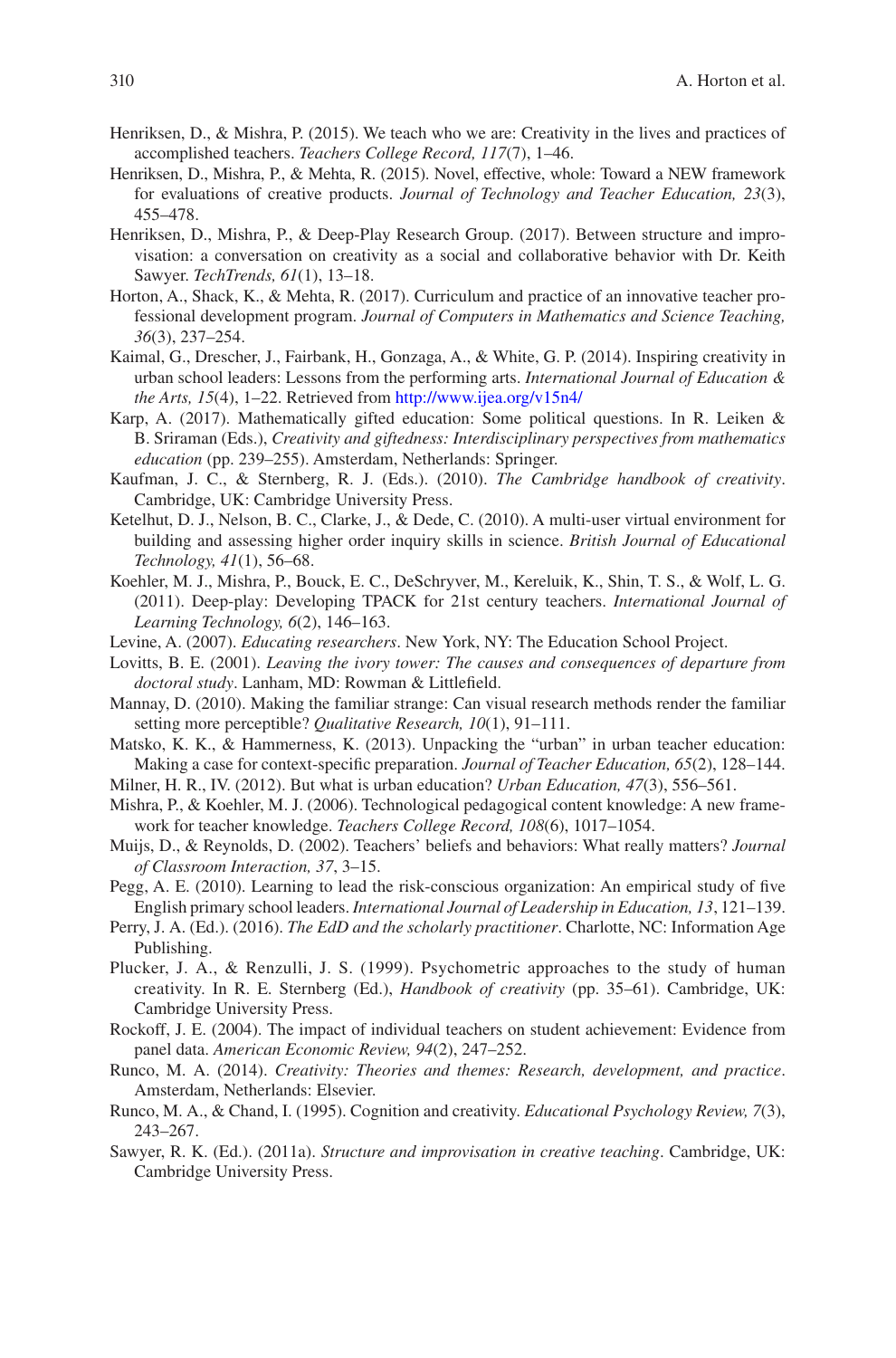- <span id="page-21-4"></span>Henriksen, D., & Mishra, P. (2015). We teach who we are: Creativity in the lives and practices of accomplished teachers. *Teachers College Record, 117*(7), 1–46.
- <span id="page-21-13"></span>Henriksen, D., Mishra, P., & Mehta, R. (2015). Novel, effective, whole: Toward a NEW framework for evaluations of creative products. *Journal of Technology and Teacher Education, 23*(3), 455–478.
- <span id="page-21-16"></span>Henriksen, D., Mishra, P., & Deep-Play Research Group. (2017). Between structure and improvisation: a conversation on creativity as a social and collaborative behavior with Dr. Keith Sawyer. *TechTrends, 61*(1), 13–18.
- <span id="page-21-19"></span>Horton, A., Shack, K., & Mehta, R. (2017). Curriculum and practice of an innovative teacher professional development program. *Journal of Computers in Mathematics and Science Teaching, 36*(3), 237–254.
- <span id="page-21-3"></span>Kaimal, G., Drescher, J., Fairbank, H., Gonzaga, A., & White, G. P. (2014). Inspiring creativity in urban school leaders: Lessons from the performing arts. *International Journal of Education & the Arts, 15*(4), 1–22. Retrieved from<http://www.ijea.org/v15n4/>
- <span id="page-21-14"></span>Karp, A. (2017). Mathematically gifted education: Some political questions. In R. Leiken & B. Sriraman (Eds.), *Creativity and giftedness: Interdisciplinary perspectives from mathematics education* (pp. 239–255). Amsterdam, Netherlands: Springer.
- <span id="page-21-9"></span>Kaufman, J. C., & Sternberg, R. J. (Eds.). (2010). *The Cambridge handbook of creativity*. Cambridge, UK: Cambridge University Press.
- <span id="page-21-2"></span>Ketelhut, D. J., Nelson, B. C., Clarke, J., & Dede, C. (2010). A multi-user virtual environment for building and assessing higher order inquiry skills in science. *British Journal of Educational Technology, 41*(1), 56–68.
- <span id="page-21-17"></span>Koehler, M. J., Mishra, P., Bouck, E. C., DeSchryver, M., Kereluik, K., Shin, T. S., & Wolf, L. G. (2011). Deep-play: Developing TPACK for 21st century teachers. *International Journal of Learning Technology, 6*(2), 146–163.
- <span id="page-21-6"></span>Levine, A. (2007). *Educating researchers*. New York, NY: The Education School Project.
- <span id="page-21-7"></span>Lovitts, B. E. (2001). *Leaving the ivory tower: The causes and consequences of departure from doctoral study*. Lanham, MD: Rowman & Littlefield.
- <span id="page-21-18"></span>Mannay, D. (2010). Making the familiar strange: Can visual research methods render the familiar setting more perceptible? *Qualitative Research, 10*(1), 91–111.
- <span id="page-21-1"></span>Matsko, K. K., & Hammerness, K. (2013). Unpacking the "urban" in urban teacher education: Making a case for context-specific preparation. *Journal of Teacher Education, 65*(2), 128–144.
- <span id="page-21-0"></span>Milner, H. R., IV. (2012). But what is urban education? *Urban Education, 47*(3), 556–561.
- <span id="page-21-20"></span>Mishra, P., & Koehler, M. J. (2006). Technological pedagogical content knowledge: A new framework for teacher knowledge. *Teachers College Record, 108*(6), 1017–1054.
- <span id="page-21-22"></span>Muijs, D., & Reynolds, D. (2002). Teachers' beliefs and behaviors: What really matters? *Journal of Classroom Interaction, 37*, 3–15.
- <span id="page-21-5"></span>Pegg, A. E. (2010). Learning to lead the risk-conscious organization: An empirical study of five English primary school leaders. *International Journal of Leadership in Education, 13*, 121–139.
- <span id="page-21-8"></span>Perry, J. A. (Ed.). (2016). *The EdD and the scholarly practitioner*. Charlotte, NC: Information Age Publishing.
- <span id="page-21-11"></span>Plucker, J. A., & Renzulli, J. S. (1999). Psychometric approaches to the study of human creativity. In R. E. Sternberg (Ed.), *Handbook of creativity* (pp. 35–61). Cambridge, UK: Cambridge University Press.
- <span id="page-21-21"></span>Rockoff, J. E. (2004). The impact of individual teachers on student achievement: Evidence from panel data. *American Economic Review, 94*(2), 247–252.
- <span id="page-21-10"></span>Runco, M. A. (2014). *Creativity: Theories and themes: Research, development, and practice*. Amsterdam, Netherlands: Elsevier.
- <span id="page-21-12"></span>Runco, M. A., & Chand, I. (1995). Cognition and creativity. *Educational Psychology Review, 7*(3), 243–267.
- <span id="page-21-15"></span>Sawyer, R. K. (Ed.). (2011a). *Structure and improvisation in creative teaching*. Cambridge, UK: Cambridge University Press.